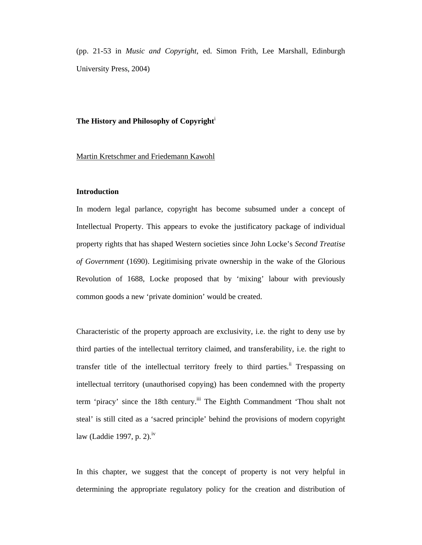(pp. 21-53 in *Music and Copyright*, ed. Simon Frith, Lee Marshall, Edinburgh University Press, 2004)

# **The History and Philosophy of Copyright**<sup>i</sup>

#### Martin Kretschmer and Friedemann Kawohl

## **Introduction**

In modern legal parlance, copyright has become subsumed under a concept of Intellectual Property. This appears to evoke the justificatory package of individual property rights that has shaped Western societies since John Locke's *Second Treatise of Government* (1690). Legitimising private ownership in the wake of the Glorious Revolution of 1688, Locke proposed that by 'mixing' labour with previously common goods a new 'private dominion' would be created.

Characteristic of the property approach are exclusivity, i.e. the right to deny use by third parties of the intellectual territory claimed, and transferability, i.e. the right to transfer title of the intellectual territory freely to third parties.<sup>ii</sup> Trespassing on intellectual territory (unauthorised copying) has been condemned with the property term 'piracy' since the 18th century.<sup>iii</sup> The Eighth Commandment 'Thou shalt not steal' is still cited as a 'sacred principle' behind the provisions of modern copyright law (Laddie 1997, p. 2).<sup>iv</sup>

In this chapter, we suggest that the concept of property is not very helpful in determining the appropriate regulatory policy for the creation and distribution of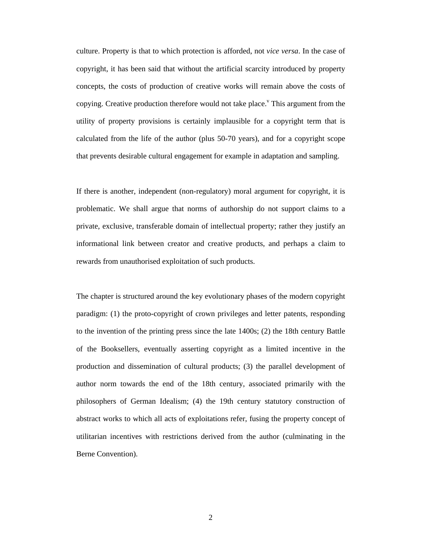culture. Property is that to which protection is afforded, not *vice versa*. In the case of copyright, it has been said that without the artificial scarcity introduced by property concepts, the costs of production of creative works will remain above the costs of copying. Creative production therefore would not take place.<sup>V</sup> This argument from the utility of property provisions is certainly implausible for a copyright term that is calculated from the life of the author (plus 50-70 years), and for a copyright scope that prevents desirable cultural engagement for example in adaptation and sampling.

If there is another, independent (non-regulatory) moral argument for copyright, it is problematic. We shall argue that norms of authorship do not support claims to a private, exclusive, transferable domain of intellectual property; rather they justify an informational link between creator and creative products, and perhaps a claim to rewards from unauthorised exploitation of such products.

The chapter is structured around the key evolutionary phases of the modern copyright paradigm: (1) the proto-copyright of crown privileges and letter patents, responding to the invention of the printing press since the late 1400s; (2) the 18th century Battle of the Booksellers, eventually asserting copyright as a limited incentive in the production and dissemination of cultural products; (3) the parallel development of author norm towards the end of the 18th century, associated primarily with the philosophers of German Idealism; (4) the 19th century statutory construction of abstract works to which all acts of exploitations refer, fusing the property concept of utilitarian incentives with restrictions derived from the author (culminating in the Berne Convention).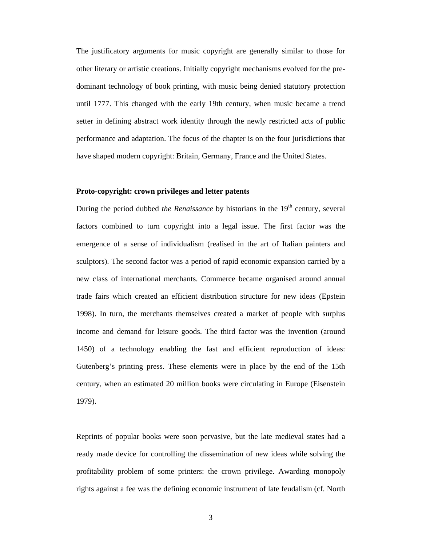The justificatory arguments for music copyright are generally similar to those for other literary or artistic creations. Initially copyright mechanisms evolved for the predominant technology of book printing, with music being denied statutory protection until 1777. This changed with the early 19th century, when music became a trend setter in defining abstract work identity through the newly restricted acts of public performance and adaptation. The focus of the chapter is on the four jurisdictions that have shaped modern copyright: Britain, Germany, France and the United States.

### **Proto-copyright: crown privileges and letter patents**

During the period dubbed *the Renaissance* by historians in the 19<sup>th</sup> century, several factors combined to turn copyright into a legal issue. The first factor was the emergence of a sense of individualism (realised in the art of Italian painters and sculptors). The second factor was a period of rapid economic expansion carried by a new class of international merchants. Commerce became organised around annual trade fairs which created an efficient distribution structure for new ideas (Epstein 1998). In turn, the merchants themselves created a market of people with surplus income and demand for leisure goods. The third factor was the invention (around 1450) of a technology enabling the fast and efficient reproduction of ideas: Gutenberg's printing press. These elements were in place by the end of the 15th century, when an estimated 20 million books were circulating in Europe (Eisenstein 1979).

Reprints of popular books were soon pervasive, but the late medieval states had a ready made device for controlling the dissemination of new ideas while solving the profitability problem of some printers: the crown privilege. Awarding monopoly rights against a fee was the defining economic instrument of late feudalism (cf. North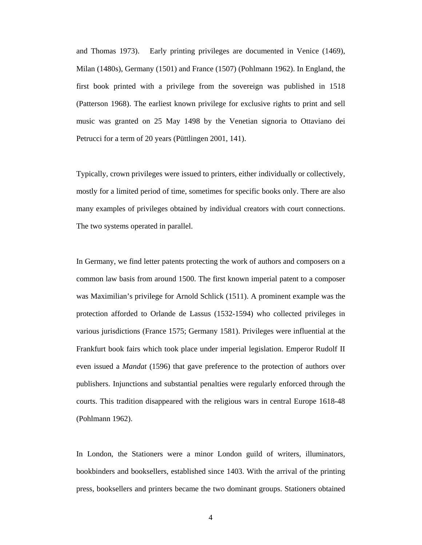and Thomas 1973). Early printing privileges are documented in Venice (1469), Milan (1480s), Germany (1501) and France (1507) (Pohlmann 1962). In England, the first book printed with a privilege from the sovereign was published in 1518 (Patterson 1968). The earliest known privilege for exclusive rights to print and sell music was granted on 25 May 1498 by the Venetian signoria to Ottaviano dei Petrucci for a term of 20 years (Püttlingen 2001, 141).

Typically, crown privileges were issued to printers, either individually or collectively, mostly for a limited period of time, sometimes for specific books only. There are also many examples of privileges obtained by individual creators with court connections. The two systems operated in parallel.

In Germany, we find letter patents protecting the work of authors and composers on a common law basis from around 1500. The first known imperial patent to a composer was Maximilian's privilege for Arnold Schlick (1511). A prominent example was the protection afforded to Orlande de Lassus (1532-1594) who collected privileges in various jurisdictions (France 1575; Germany 1581). Privileges were influential at the Frankfurt book fairs which took place under imperial legislation. Emperor Rudolf II even issued a *Mandat* (1596) that gave preference to the protection of authors over publishers. Injunctions and substantial penalties were regularly enforced through the courts. This tradition disappeared with the religious wars in central Europe 1618-48 (Pohlmann 1962).

In London, the Stationers were a minor London guild of writers, illuminators, bookbinders and booksellers, established since 1403. With the arrival of the printing press, booksellers and printers became the two dominant groups. Stationers obtained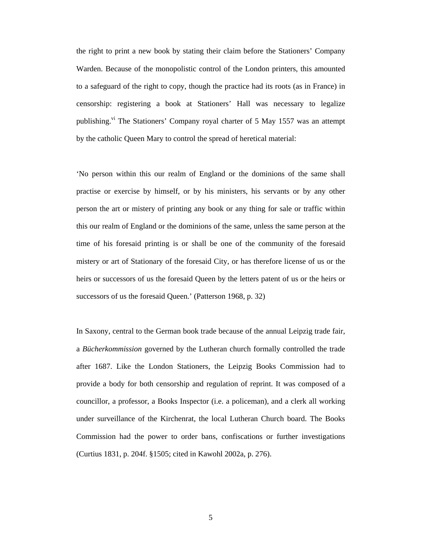the right to print a new book by stating their claim before the Stationers' Company Warden. Because of the monopolistic control of the London printers, this amounted to a safeguard of the right to copy, though the practice had its roots (as in France) in censorship: registering a book at Stationers' Hall was necessary to legalize publishing.<sup>vi</sup> The Stationers' Company royal charter of 5 May 1557 was an attempt by the catholic Queen Mary to control the spread of heretical material:

'No person within this our realm of England or the dominions of the same shall practise or exercise by himself, or by his ministers, his servants or by any other person the art or mistery of printing any book or any thing for sale or traffic within this our realm of England or the dominions of the same, unless the same person at the time of his foresaid printing is or shall be one of the community of the foresaid mistery or art of Stationary of the foresaid City, or has therefore license of us or the heirs or successors of us the foresaid Queen by the letters patent of us or the heirs or successors of us the foresaid Queen.' (Patterson 1968, p. 32)

In Saxony, central to the German book trade because of the annual Leipzig trade fair, a *Bücherkommission* governed by the Lutheran church formally controlled the trade after 1687. Like the London Stationers, the Leipzig Books Commission had to provide a body for both censorship and regulation of reprint. It was composed of a councillor, a professor, a Books Inspector (i.e. a policeman), and a clerk all working under surveillance of the Kirchenrat, the local Lutheran Church board. The Books Commission had the power to order bans, confiscations or further investigations (Curtius 1831, p. 204f. §1505; cited in Kawohl 2002a, p. 276).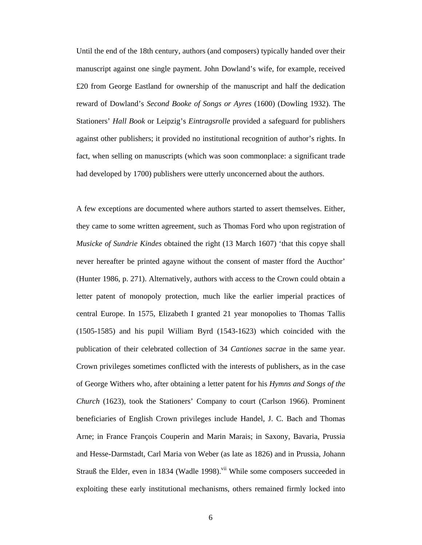Until the end of the 18th century, authors (and composers) typically handed over their manuscript against one single payment. John Dowland's wife, for example, received £20 from George Eastland for ownership of the manuscript and half the dedication reward of Dowland's *Second Booke of Songs or Ayres* (1600) (Dowling 1932). The Stationers' *Hall Book* or Leipzig's *Eintragsrolle* provided a safeguard for publishers against other publishers; it provided no institutional recognition of author's rights. In fact, when selling on manuscripts (which was soon commonplace: a significant trade had developed by 1700) publishers were utterly unconcerned about the authors.

A few exceptions are documented where authors started to assert themselves. Either, they came to some written agreement, such as Thomas Ford who upon registration of *Musicke of Sundrie Kindes* obtained the right (13 March 1607) 'that this copye shall never hereafter be printed agayne without the consent of master fford the Aucthor' (Hunter 1986, p. 271). Alternatively, authors with access to the Crown could obtain a letter patent of monopoly protection, much like the earlier imperial practices of central Europe. In 1575, Elizabeth I granted 21 year monopolies to Thomas Tallis (1505-1585) and his pupil William Byrd (1543-1623) which coincided with the publication of their celebrated collection of 34 *Cantiones sacrae* in the same year. Crown privileges sometimes conflicted with the interests of publishers, as in the case of George Withers who, after obtaining a letter patent for his *Hymns and Songs of the Church* (1623), took the Stationers' Company to court (Carlson 1966). Prominent beneficiaries of English Crown privileges include Handel, J. C. Bach and Thomas Arne; in France François Couperin and Marin Marais; in Saxony, Bavaria, Prussia and Hesse-Darmstadt, Carl Maria von Weber (as late as 1826) and in Prussia, Johann Strauß the Elder, even in 1834 (Wadle 1998).<sup>vii</sup> While some composers succeeded in exploiting these early institutional mechanisms, others remained firmly locked into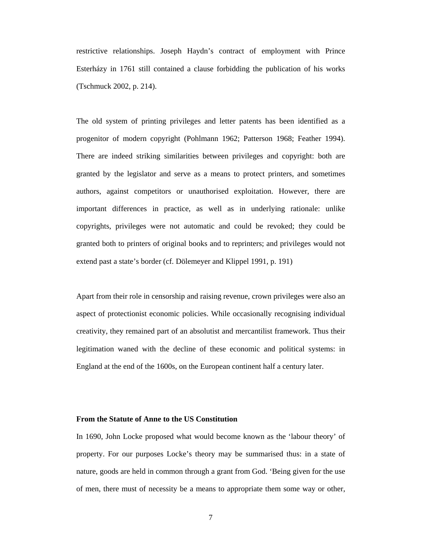restrictive relationships. Joseph Haydn's contract of employment with Prince Esterházy in 1761 still contained a clause forbidding the publication of his works (Tschmuck 2002, p. 214).

The old system of printing privileges and letter patents has been identified as a progenitor of modern copyright (Pohlmann 1962; Patterson 1968; Feather 1994). There are indeed striking similarities between privileges and copyright: both are granted by the legislator and serve as a means to protect printers, and sometimes authors, against competitors or unauthorised exploitation. However, there are important differences in practice, as well as in underlying rationale: unlike copyrights, privileges were not automatic and could be revoked; they could be granted both to printers of original books and to reprinters; and privileges would not extend past a state's border (cf. Dölemeyer and Klippel 1991, p. 191)

Apart from their role in censorship and raising revenue, crown privileges were also an aspect of protectionist economic policies. While occasionally recognising individual creativity, they remained part of an absolutist and mercantilist framework. Thus their legitimation waned with the decline of these economic and political systems: in England at the end of the 1600s, on the European continent half a century later.

#### **From the Statute of Anne to the US Constitution**

In 1690, John Locke proposed what would become known as the 'labour theory' of property. For our purposes Locke's theory may be summarised thus: in a state of nature, goods are held in common through a grant from God. 'Being given for the use of men, there must of necessity be a means to appropriate them some way or other,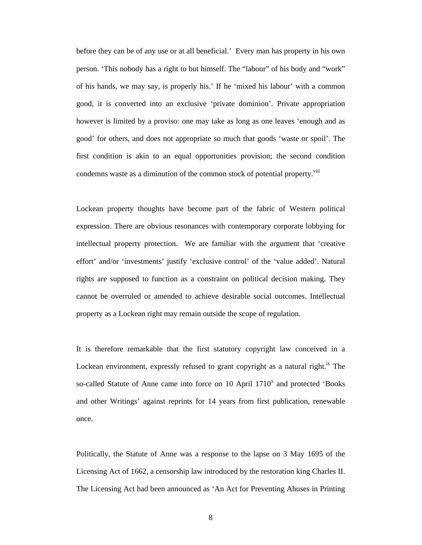before they can be of any use or at all beneficial.' Every man has property in his own person. 'This nobody has a right to but himself. The "labour" of his body and "work" of his hands, we may say, is properly his.' If he 'mixed his labour' with a common good, it is converted into an exclusive 'private dominion'. Private appropriation however is limited by a proviso: one may take as long as one leaves 'enough and as good' for others, and does not appropriate so much that goods 'waste or spoil'. The first condition is akin to an equal opportunities provision; the second condition condemns waste as a diminution of the common stock of potential property.<sup>viii</sup>

Lockean property thoughts have become part of the fabric of Western political expression. There are obvious resonances with contemporary corporate lobbying for intellectual property protection. We are familiar with the argument that 'creative effort' and/or 'investments' justify 'exclusive control' of the 'value added'. Natural rights are supposed to function as a constraint on political decision making. They cannot be overruled or amended to achieve desirable social outcomes. Intellectual property as a Lockean right may remain outside the scope of regulation.

It is therefore remarkable that the first statutory copyright law conceived in a Lockean environment, expressly refused to grant copyright as a natural right.<sup>ix</sup> The so-called Statute of Anne came into force on 10 April 1710<sup>x</sup> and protected 'Books and other Writings' against reprints for 14 years from first publication, renewable once.

Politically, the Statute of Anne was a response to the lapse on 3 May 1695 of the Licensing Act of 1662, a censorship law introduced by the restoration king Charles II. The Licensing Act had been announced as 'An Act for Preventing Abuses in Printing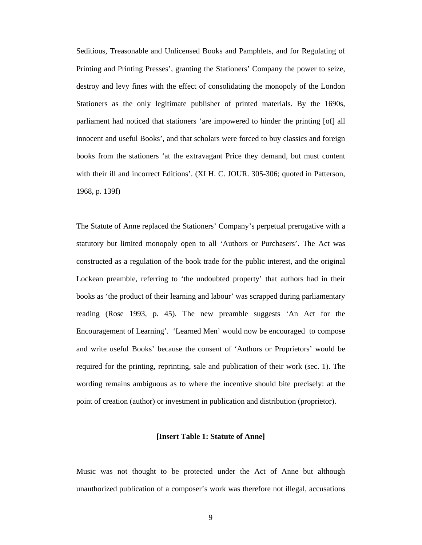Seditious, Treasonable and Unlicensed Books and Pamphlets, and for Regulating of Printing and Printing Presses', granting the Stationers' Company the power to seize, destroy and levy fines with the effect of consolidating the monopoly of the London Stationers as the only legitimate publisher of printed materials. By the 1690s, parliament had noticed that stationers 'are impowered to hinder the printing [of] all innocent and useful Books', and that scholars were forced to buy classics and foreign books from the stationers 'at the extravagant Price they demand, but must content with their ill and incorrect Editions'. (XI H. C. JOUR. 305-306; quoted in Patterson, 1968, p. 139f)

The Statute of Anne replaced the Stationers' Company's perpetual prerogative with a statutory but limited monopoly open to all 'Authors or Purchasers'. The Act was constructed as a regulation of the book trade for the public interest, and the original Lockean preamble, referring to 'the undoubted property' that authors had in their books as 'the product of their learning and labour' was scrapped during parliamentary reading (Rose 1993, p. 45). The new preamble suggests 'An Act for the Encouragement of Learning'. 'Learned Men' would now be encouraged to compose and write useful Books' because the consent of 'Authors or Proprietors' would be required for the printing, reprinting, sale and publication of their work (sec. 1). The wording remains ambiguous as to where the incentive should bite precisely: at the point of creation (author) or investment in publication and distribution (proprietor).

### **[Insert Table 1: Statute of Anne]**

Music was not thought to be protected under the Act of Anne but although unauthorized publication of a composer's work was therefore not illegal, accusations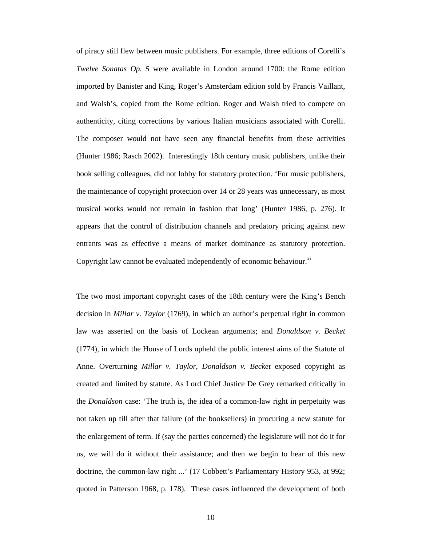of piracy still flew between music publishers. For example, three editions of Corelli's *Twelve Sonatas Op. 5* were available in London around 1700: the Rome edition imported by Banister and King, Roger's Amsterdam edition sold by Francis Vaillant, and Walsh's, copied from the Rome edition. Roger and Walsh tried to compete on authenticity, citing corrections by various Italian musicians associated with Corelli. The composer would not have seen any financial benefits from these activities (Hunter 1986; Rasch 2002). Interestingly 18th century music publishers, unlike their book selling colleagues, did not lobby for statutory protection. 'For music publishers, the maintenance of copyright protection over 14 or 28 years was unnecessary, as most musical works would not remain in fashion that long' (Hunter 1986, p. 276). It appears that the control of distribution channels and predatory pricing against new entrants was as effective a means of market dominance as statutory protection. Copyright law cannot be evaluated independently of economic behaviour.<sup>xi</sup>

The two most important copyright cases of the 18th century were the King's Bench decision in *Millar v. Taylor* (1769), in which an author's perpetual right in common law was asserted on the basis of Lockean arguments; and *Donaldson v. Becket*  (1774), in which the House of Lords upheld the public interest aims of the Statute of Anne. Overturning *Millar v. Taylor*, *Donaldson v. Becket* exposed copyright as created and limited by statute. As Lord Chief Justice De Grey remarked critically in the *Donaldson* case: 'The truth is, the idea of a common-law right in perpetuity was not taken up till after that failure (of the booksellers) in procuring a new statute for the enlargement of term. If (say the parties concerned) the legislature will not do it for us, we will do it without their assistance; and then we begin to hear of this new doctrine, the common-law right ...' (17 Cobbett's Parliamentary History 953, at 992; quoted in Patterson 1968, p. 178). These cases influenced the development of both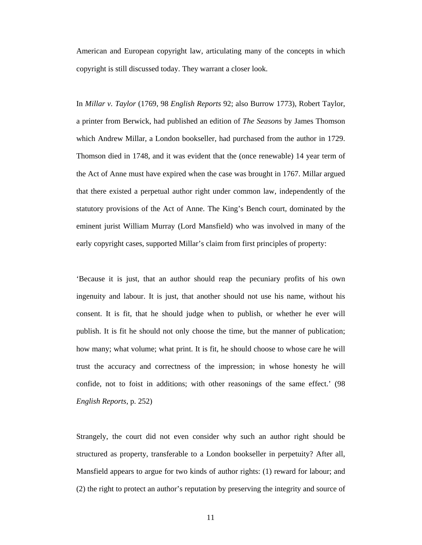American and European copyright law, articulating many of the concepts in which copyright is still discussed today. They warrant a closer look.

In *Millar v. Taylor* (1769, 98 *English Reports* 92; also Burrow 1773), Robert Taylor, a printer from Berwick, had published an edition of *The Seasons* by James Thomson which Andrew Millar, a London bookseller, had purchased from the author in 1729. Thomson died in 1748, and it was evident that the (once renewable) 14 year term of the Act of Anne must have expired when the case was brought in 1767. Millar argued that there existed a perpetual author right under common law, independently of the statutory provisions of the Act of Anne. The King's Bench court, dominated by the eminent jurist William Murray (Lord Mansfield) who was involved in many of the early copyright cases, supported Millar's claim from first principles of property:

'Because it is just, that an author should reap the pecuniary profits of his own ingenuity and labour. It is just, that another should not use his name, without his consent. It is fit, that he should judge when to publish, or whether he ever will publish. It is fit he should not only choose the time, but the manner of publication; how many; what volume; what print. It is fit, he should choose to whose care he will trust the accuracy and correctness of the impression; in whose honesty he will confide, not to foist in additions; with other reasonings of the same effect.' (98 *English Reports*, p. 252)

Strangely, the court did not even consider why such an author right should be structured as property, transferable to a London bookseller in perpetuity? After all, Mansfield appears to argue for two kinds of author rights: (1) reward for labour; and (2) the right to protect an author's reputation by preserving the integrity and source of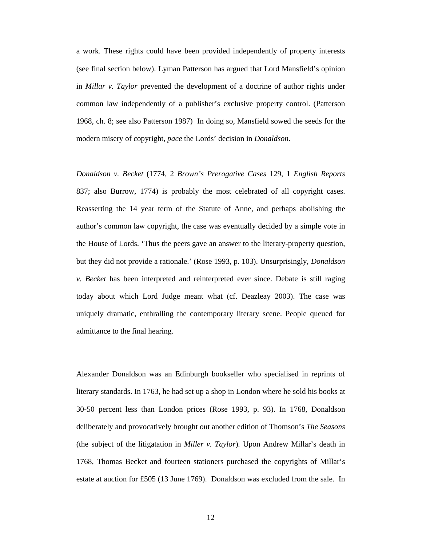a work. These rights could have been provided independently of property interests (see final section below). Lyman Patterson has argued that Lord Mansfield's opinion in *Millar v. Taylor* prevented the development of a doctrine of author rights under common law independently of a publisher's exclusive property control. (Patterson 1968, ch. 8; see also Patterson 1987) In doing so, Mansfield sowed the seeds for the modern misery of copyright, *pace* the Lords' decision in *Donaldson*.

*Donaldson v. Becket* (1774, 2 *Brown's Prerogative Cases* 129, 1 *English Reports* 837; also Burrow, 1774) is probably the most celebrated of all copyright cases. Reasserting the 14 year term of the Statute of Anne, and perhaps abolishing the author's common law copyright, the case was eventually decided by a simple vote in the House of Lords. 'Thus the peers gave an answer to the literary-property question, but they did not provide a rationale.' (Rose 1993, p. 103). Unsurprisingly, *Donaldson v. Becket* has been interpreted and reinterpreted ever since. Debate is still raging today about which Lord Judge meant what (cf. Deazleay 2003). The case was uniquely dramatic, enthralling the contemporary literary scene. People queued for admittance to the final hearing.

Alexander Donaldson was an Edinburgh bookseller who specialised in reprints of literary standards. In 1763, he had set up a shop in London where he sold his books at 30-50 percent less than London prices (Rose 1993, p. 93). In 1768, Donaldson deliberately and provocatively brought out another edition of Thomson's *The Seasons* (the subject of the litigatation in *Miller v. Taylor*)*.* Upon Andrew Millar's death in 1768, Thomas Becket and fourteen stationers purchased the copyrights of Millar's estate at auction for £505 (13 June 1769). Donaldson was excluded from the sale. In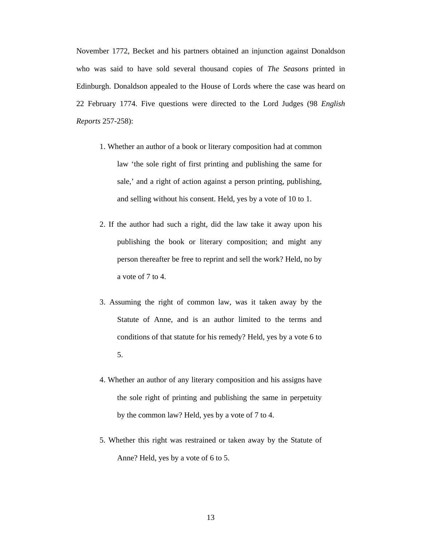November 1772, Becket and his partners obtained an injunction against Donaldson who was said to have sold several thousand copies of *The Seasons* printed in Edinburgh. Donaldson appealed to the House of Lords where the case was heard on 22 February 1774. Five questions were directed to the Lord Judges (98 *English Reports* 257-258):

- 1. Whether an author of a book or literary composition had at common law 'the sole right of first printing and publishing the same for sale,' and a right of action against a person printing, publishing, and selling without his consent. Held, yes by a vote of 10 to 1.
- 2. If the author had such a right, did the law take it away upon his publishing the book or literary composition; and might any person thereafter be free to reprint and sell the work? Held, no by a vote of 7 to 4.
- 3. Assuming the right of common law, was it taken away by the Statute of Anne, and is an author limited to the terms and conditions of that statute for his remedy? Held, yes by a vote 6 to 5.
- 4. Whether an author of any literary composition and his assigns have the sole right of printing and publishing the same in perpetuity by the common law? Held, yes by a vote of 7 to 4.
- 5. Whether this right was restrained or taken away by the Statute of Anne? Held, yes by a vote of 6 to 5.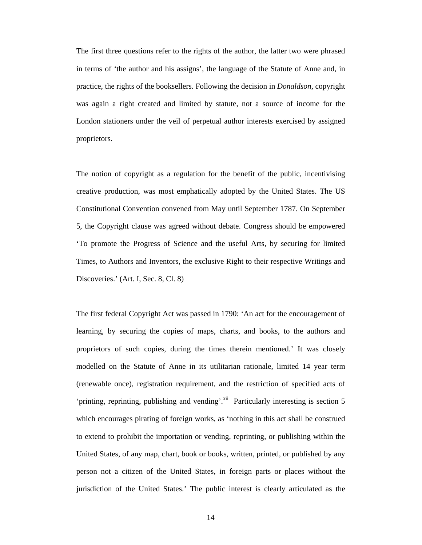The first three questions refer to the rights of the author, the latter two were phrased in terms of 'the author and his assigns', the language of the Statute of Anne and, in practice, the rights of the booksellers. Following the decision in *Donaldson*, copyright was again a right created and limited by statute, not a source of income for the London stationers under the veil of perpetual author interests exercised by assigned proprietors.

The notion of copyright as a regulation for the benefit of the public, incentivising creative production, was most emphatically adopted by the United States. The US Constitutional Convention convened from May until September 1787. On September 5, the Copyright clause was agreed without debate. Congress should be empowered 'To promote the Progress of Science and the useful Arts, by securing for limited Times, to Authors and Inventors, the exclusive Right to their respective Writings and Discoveries.' (Art. I, Sec. 8, Cl. 8)

The first federal Copyright Act was passed in 1790: 'An act for the encouragement of learning, by securing the copies of maps, charts, and books, to the authors and proprietors of such copies, during the times therein mentioned.' It was closely modelled on the Statute of Anne in its utilitarian rationale, limited 14 year term (renewable once), registration requirement, and the restriction of specified acts of 'printing, reprinting, publishing and vending'.<sup>xii</sup> Particularly interesting is section 5 which encourages pirating of foreign works, as 'nothing in this act shall be construed to extend to prohibit the importation or vending, reprinting, or publishing within the United States, of any map, chart, book or books, written, printed, or published by any person not a citizen of the United States, in foreign parts or places without the jurisdiction of the United States.' The public interest is clearly articulated as the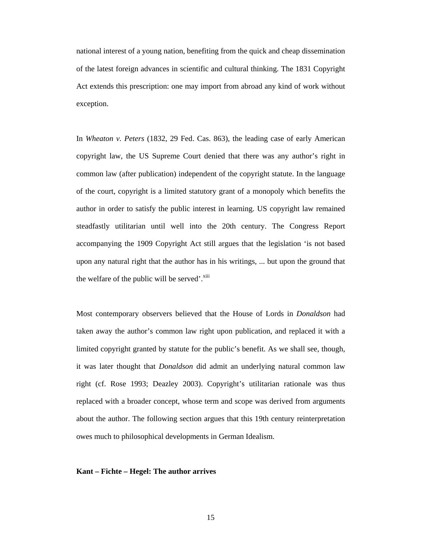national interest of a young nation, benefiting from the quick and cheap dissemination of the latest foreign advances in scientific and cultural thinking. The 1831 Copyright Act extends this prescription: one may import from abroad any kind of work without exception.

In *Wheaton v. Peters* (1832, 29 Fed. Cas. 863), the leading case of early American copyright law, the US Supreme Court denied that there was any author's right in common law (after publication) independent of the copyright statute. In the language of the court, copyright is a limited statutory grant of a monopoly which benefits the author in order to satisfy the public interest in learning. US copyright law remained steadfastly utilitarian until well into the 20th century. The Congress Report accompanying the 1909 Copyright Act still argues that the legislation 'is not based upon any natural right that the author has in his writings, ... but upon the ground that the welfare of the public will be served'. $x$ <sup>iii</sup>

Most contemporary observers believed that the House of Lords in *Donaldson* had taken away the author's common law right upon publication, and replaced it with a limited copyright granted by statute for the public's benefit. As we shall see, though, it was later thought that *Donaldson* did admit an underlying natural common law right (cf. Rose 1993; Deazley 2003). Copyright's utilitarian rationale was thus replaced with a broader concept, whose term and scope was derived from arguments about the author. The following section argues that this 19th century reinterpretation owes much to philosophical developments in German Idealism.

#### **Kant – Fichte – Hegel: The author arrives**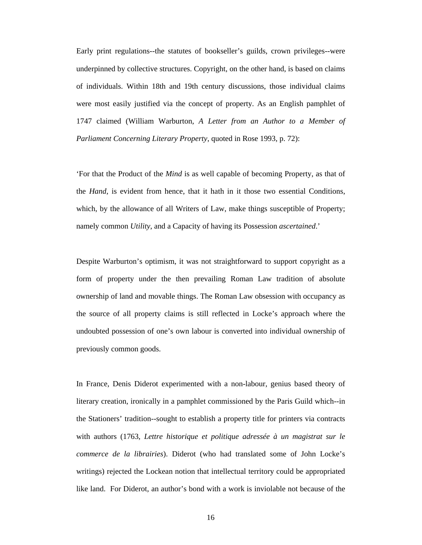Early print regulations--the statutes of bookseller's guilds, crown privileges--were underpinned by collective structures. Copyright, on the other hand, is based on claims of individuals. Within 18th and 19th century discussions, those individual claims were most easily justified via the concept of property. As an English pamphlet of 1747 claimed (William Warburton, *A Letter from an Author to a Member of Parliament Concerning Literary Property*, quoted in Rose 1993, p. 72):

'For that the Product of the *Mind* is as well capable of becoming Property, as that of the *Hand*, is evident from hence, that it hath in it those two essential Conditions, which, by the allowance of all Writers of Law, make things susceptible of Property; namely common *Utility*, and a Capacity of having its Possession *ascertained*.'

Despite Warburton's optimism, it was not straightforward to support copyright as a form of property under the then prevailing Roman Law tradition of absolute ownership of land and movable things. The Roman Law obsession with occupancy as the source of all property claims is still reflected in Locke's approach where the undoubted possession of one's own labour is converted into individual ownership of previously common goods.

In France, Denis Diderot experimented with a non-labour, genius based theory of literary creation, ironically in a pamphlet commissioned by the Paris Guild which--in the Stationers' tradition--sought to establish a property title for printers via contracts with authors (1763, *Lettre historique et politique adressée à un magistrat sur le commerce de la librairies*). Diderot (who had translated some of John Locke's writings) rejected the Lockean notion that intellectual territory could be appropriated like land. For Diderot, an author's bond with a work is inviolable not because of the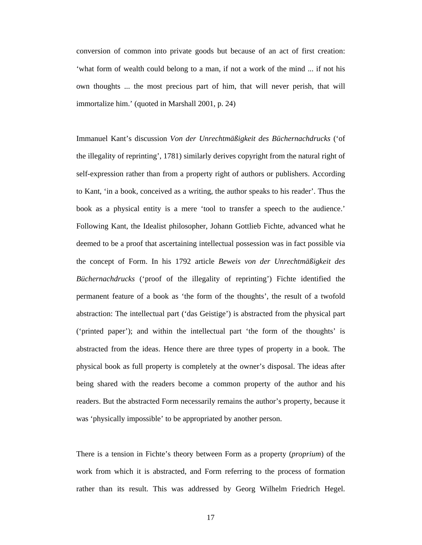conversion of common into private goods but because of an act of first creation: 'what form of wealth could belong to a man, if not a work of the mind ... if not his own thoughts ... the most precious part of him, that will never perish, that will immortalize him.' (quoted in Marshall 2001, p. 24)

Immanuel Kant's discussion *Von der Unrechtmäßigkeit des Büchernachdrucks* ('of the illegality of reprinting', 1781) similarly derives copyright from the natural right of self-expression rather than from a property right of authors or publishers. According to Kant, 'in a book, conceived as a writing, the author speaks to his reader'. Thus the book as a physical entity is a mere 'tool to transfer a speech to the audience.' Following Kant, the Idealist philosopher, Johann Gottlieb Fichte, advanced what he deemed to be a proof that ascertaining intellectual possession was in fact possible via the concept of Form. In his 1792 article *Beweis von der Unrechtmäßigkeit des Büchernachdrucks* ('proof of the illegality of reprinting') Fichte identified the permanent feature of a book as 'the form of the thoughts', the result of a twofold abstraction: The intellectual part ('das Geistige') is abstracted from the physical part ('printed paper'); and within the intellectual part 'the form of the thoughts' is abstracted from the ideas. Hence there are three types of property in a book. The physical book as full property is completely at the owner's disposal. The ideas after being shared with the readers become a common property of the author and his readers. But the abstracted Form necessarily remains the author's property, because it was 'physically impossible' to be appropriated by another person.

There is a tension in Fichte's theory between Form as a property (*proprium*) of the work from which it is abstracted, and Form referring to the process of formation rather than its result. This was addressed by Georg Wilhelm Friedrich Hegel.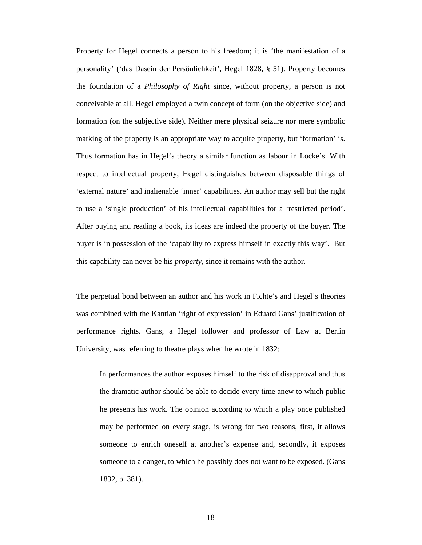Property for Hegel connects a person to his freedom; it is 'the manifestation of a personality' ('das Dasein der Persönlichkeit', Hegel 1828, § 51). Property becomes the foundation of a *Philosophy of Right* since, without property, a person is not conceivable at all. Hegel employed a twin concept of form (on the objective side) and formation (on the subjective side). Neither mere physical seizure nor mere symbolic marking of the property is an appropriate way to acquire property, but 'formation' is. Thus formation has in Hegel's theory a similar function as labour in Locke's. With respect to intellectual property, Hegel distinguishes between disposable things of 'external nature' and inalienable 'inner' capabilities. An author may sell but the right to use a 'single production' of his intellectual capabilities for a 'restricted period'. After buying and reading a book, its ideas are indeed the property of the buyer. The buyer is in possession of the 'capability to express himself in exactly this way'. But this capability can never be his *property*, since it remains with the author.

The perpetual bond between an author and his work in Fichte's and Hegel's theories was combined with the Kantian 'right of expression' in Eduard Gans' justification of performance rights. Gans, a Hegel follower and professor of Law at Berlin University, was referring to theatre plays when he wrote in 1832:

In performances the author exposes himself to the risk of disapproval and thus the dramatic author should be able to decide every time anew to which public he presents his work. The opinion according to which a play once published may be performed on every stage, is wrong for two reasons, first, it allows someone to enrich oneself at another's expense and, secondly, it exposes someone to a danger, to which he possibly does not want to be exposed. (Gans 1832, p. 381).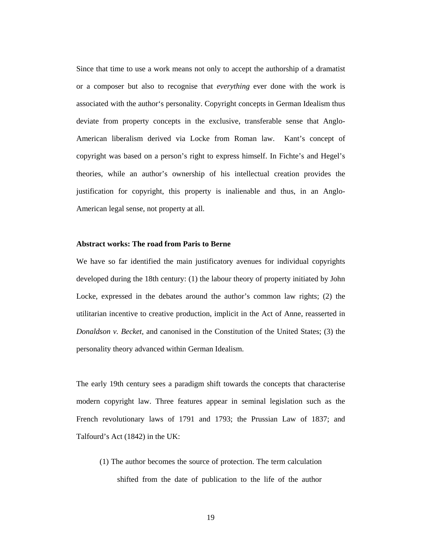Since that time to use a work means not only to accept the authorship of a dramatist or a composer but also to recognise that *everything* ever done with the work is associated with the author's personality. Copyright concepts in German Idealism thus deviate from property concepts in the exclusive, transferable sense that Anglo-American liberalism derived via Locke from Roman law. Kant's concept of copyright was based on a person's right to express himself. In Fichte's and Hegel's theories, while an author's ownership of his intellectual creation provides the justification for copyright, this property is inalienable and thus, in an Anglo-American legal sense, not property at all.

## **Abstract works: The road from Paris to Berne**

We have so far identified the main justificatory avenues for individual copyrights developed during the 18th century: (1) the labour theory of property initiated by John Locke, expressed in the debates around the author's common law rights; (2) the utilitarian incentive to creative production, implicit in the Act of Anne, reasserted in *Donaldson v. Becket*, and canonised in the Constitution of the United States; (3) the personality theory advanced within German Idealism.

The early 19th century sees a paradigm shift towards the concepts that characterise modern copyright law. Three features appear in seminal legislation such as the French revolutionary laws of 1791 and 1793; the Prussian Law of 1837; and Talfourd's Act (1842) in the UK:

(1) The author becomes the source of protection. The term calculation shifted from the date of publication to the life of the author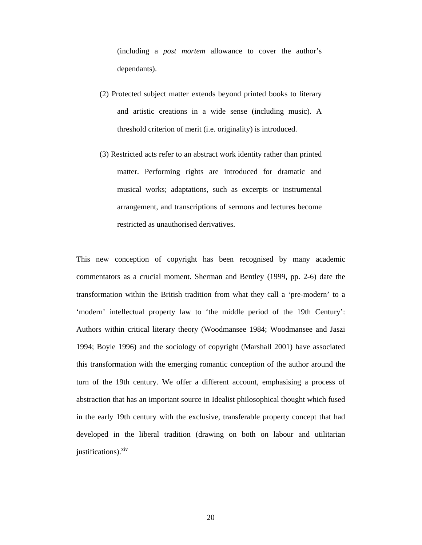(including a *post mortem* allowance to cover the author's dependants).

- (2) Protected subject matter extends beyond printed books to literary and artistic creations in a wide sense (including music). A threshold criterion of merit (i.e. originality) is introduced.
- (3) Restricted acts refer to an abstract work identity rather than printed matter. Performing rights are introduced for dramatic and musical works; adaptations, such as excerpts or instrumental arrangement, and transcriptions of sermons and lectures become restricted as unauthorised derivatives.

This new conception of copyright has been recognised by many academic commentators as a crucial moment. Sherman and Bentley (1999, pp. 2-6) date the transformation within the British tradition from what they call a 'pre-modern' to a 'modern' intellectual property law to 'the middle period of the 19th Century': Authors within critical literary theory (Woodmansee 1984; Woodmansee and Jaszi 1994; Boyle 1996) and the sociology of copyright (Marshall 2001) have associated this transformation with the emerging romantic conception of the author around the turn of the 19th century. We offer a different account, emphasising a process of abstraction that has an important source in Idealist philosophical thought which fused in the early 19th century with the exclusive, transferable property concept that had developed in the liberal tradition (drawing on both on labour and utilitarian justifications).<sup>xiv</sup>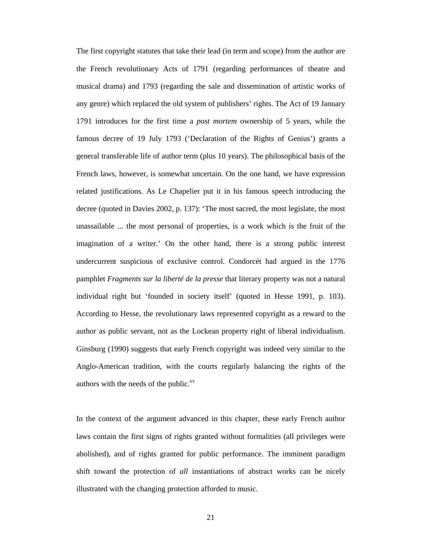The first copyright statutes that take their lead (in term and scope) from the author are the French revolutionary Acts of 1791 (regarding performances of theatre and musical drama) and 1793 (regarding the sale and dissemination of artistic works of any genre) which replaced the old system of publishers' rights. The Act of 19 January 1791 introduces for the first time a *post mortem* ownership of 5 years, while the famous decree of 19 July 1793 ('Declaration of the Rights of Genius') grants a general transferable life of author term (plus 10 years). The philosophical basis of the French laws, however, is somewhat uncertain. On the one hand, we have expression related justifications. As Le Chapelier put it in his famous speech introducing the decree (quoted in Davies 2002, p. 137): 'The most sacred, the most legislate, the most unassailable ... the most personal of properties, is a work which is the fruit of the imagination of a writer.' On the other hand, there is a strong public interest undercurrent suspicious of exclusive control. Condorcét had argued in the 1776 pamphlet *Fragments sur la liberté de la presse* that literary property was not a natural individual right but 'founded in society itself' (quoted in Hesse 1991, p. 103). According to Hesse, the revolutionary laws represented copyright as a reward to the author as public servant, not as the Lockean property right of liberal individualism. Ginsburg (1990) suggests that early French copyright was indeed very similar to the Anglo-American tradition, with the courts regularly balancing the rights of the authors with the needs of the public.<sup>xv</sup>

In the context of the argument advanced in this chapter, these early French author laws contain the first signs of rights granted without formalities (all privileges were abolished), and of rights granted for public performance. The imminent paradigm shift toward the protection of *all* instantiations of abstract works can be nicely illustrated with the changing protection afforded to music.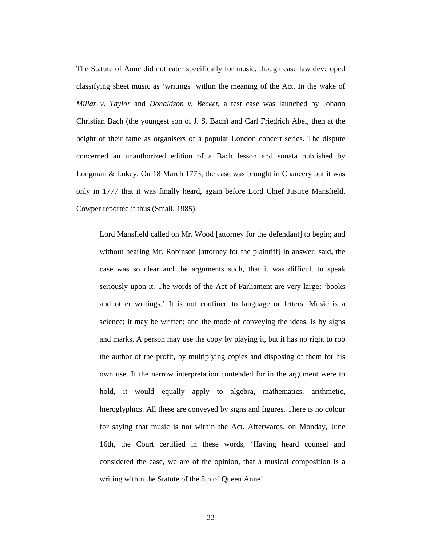The Statute of Anne did not cater specifically for music, though case law developed classifying sheet music as 'writings' within the meaning of the Act. In the wake of *Millar v. Taylor* and *Donaldson v. Becket,* a test case was launched by Johann Christian Bach (the youngest son of J. S. Bach) and Carl Friedrich Abel, then at the height of their fame as organisers of a popular London concert series. The dispute concerned an unauthorized edition of a Bach lesson and sonata published by Longman & Lukey. On 18 March 1773, the case was brought in Chancery but it was only in 1777 that it was finally heard, again before Lord Chief Justice Mansfield. Cowper reported it thus (Small, 1985):

Lord Mansfield called on Mr. Wood [attorney for the defendant] to begin; and without hearing Mr. Robinson [attorney for the plaintiff] in answer, said, the case was so clear and the arguments such, that it was difficult to speak seriously upon it. The words of the Act of Parliament are very large: 'books and other writings.' It is not confined to language or letters. Music is a science; it may be written; and the mode of conveying the ideas, is by signs and marks. A person may use the copy by playing it, but it has no right to rob the author of the profit, by multiplying copies and disposing of them for his own use. If the narrow interpretation contended for in the argument were to hold, it would equally apply to algebra, mathematics, arithmetic, hieroglyphics. All these are conveyed by signs and figures. There is no colour for saying that music is not within the Act. Afterwards, on Monday, June 16th, the Court certified in these words, 'Having heard counsel and considered the case, we are of the opinion, that a musical composition is a writing within the Statute of the 8th of Queen Anne'.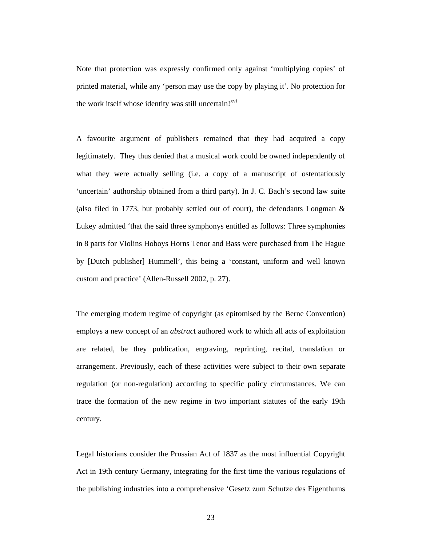Note that protection was expressly confirmed only against 'multiplying copies' of printed material, while any 'person may use the copy by playing it'. No protection for the work itself whose identity was still uncertain!<sup>xvi</sup>

A favourite argument of publishers remained that they had acquired a copy legitimately. They thus denied that a musical work could be owned independently of what they were actually selling (i.e. a copy of a manuscript of ostentatiously 'uncertain' authorship obtained from a third party). In J. C. Bach's second law suite (also filed in 1773, but probably settled out of court), the defendants Longman  $\&$ Lukey admitted 'that the said three symphonys entitled as follows: Three symphonies in 8 parts for Violins Hoboys Horns Tenor and Bass were purchased from The Hague by [Dutch publisher] Hummell', this being a 'constant, uniform and well known custom and practice' (Allen-Russell 2002, p. 27).

The emerging modern regime of copyright (as epitomised by the Berne Convention) employs a new concept of an *abstrac*t authored work to which all acts of exploitation are related, be they publication, engraving, reprinting, recital, translation or arrangement. Previously, each of these activities were subject to their own separate regulation (or non-regulation) according to specific policy circumstances. We can trace the formation of the new regime in two important statutes of the early 19th century.

Legal historians consider the Prussian Act of 1837 as the most influential Copyright Act in 19th century Germany, integrating for the first time the various regulations of the publishing industries into a comprehensive 'Gesetz zum Schutze des Eigenthums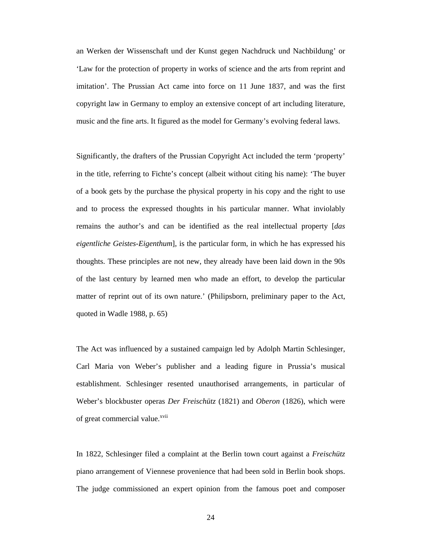an Werken der Wissenschaft und der Kunst gegen Nachdruck und Nachbildung' or 'Law for the protection of property in works of science and the arts from reprint and imitation'. The Prussian Act came into force on 11 June 1837, and was the first copyright law in Germany to employ an extensive concept of art including literature, music and the fine arts. It figured as the model for Germany's evolving federal laws.

Significantly, the drafters of the Prussian Copyright Act included the term 'property' in the title, referring to Fichte's concept (albeit without citing his name): 'The buyer of a book gets by the purchase the physical property in his copy and the right to use and to process the expressed thoughts in his particular manner. What inviolably remains the author's and can be identified as the real intellectual property [*das eigentliche Geistes-Eigenthum*], is the particular form, in which he has expressed his thoughts. These principles are not new, they already have been laid down in the 90s of the last century by learned men who made an effort, to develop the particular matter of reprint out of its own nature.' (Philipsborn, preliminary paper to the Act, quoted in Wadle 1988, p. 65)

The Act was influenced by a sustained campaign led by Adolph Martin Schlesinger, Carl Maria von Weber's publisher and a leading figure in Prussia's musical establishment. Schlesinger resented unauthorised arrangements, in particular of Weber's blockbuster operas *Der Freischütz* (1821) and *Oberon* (1826), which were of great commercial value.<sup>xvii</sup>

In 1822, Schlesinger filed a complaint at the Berlin town court against a *Freischütz* piano arrangement of Viennese provenience that had been sold in Berlin book shops. The judge commissioned an expert opinion from the famous poet and composer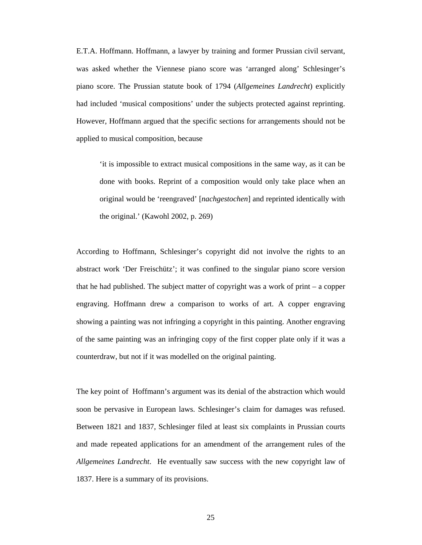E.T.A. Hoffmann. Hoffmann, a lawyer by training and former Prussian civil servant, was asked whether the Viennese piano score was 'arranged along' Schlesinger's piano score. The Prussian statute book of 1794 (*Allgemeines Landrecht*) explicitly had included 'musical compositions' under the subjects protected against reprinting. However, Hoffmann argued that the specific sections for arrangements should not be applied to musical composition, because

'it is impossible to extract musical compositions in the same way, as it can be done with books. Reprint of a composition would only take place when an original would be 'reengraved' [*nachgestochen*] and reprinted identically with the original.' (Kawohl 2002, p. 269)

According to Hoffmann, Schlesinger's copyright did not involve the rights to an abstract work 'Der Freischütz'; it was confined to the singular piano score version that he had published. The subject matter of copyright was a work of print – a copper engraving. Hoffmann drew a comparison to works of art. A copper engraving showing a painting was not infringing a copyright in this painting. Another engraving of the same painting was an infringing copy of the first copper plate only if it was a counterdraw, but not if it was modelled on the original painting.

The key point of Hoffmann's argument was its denial of the abstraction which would soon be pervasive in European laws. Schlesinger's claim for damages was refused. Between 1821 and 1837, Schlesinger filed at least six complaints in Prussian courts and made repeated applications for an amendment of the arrangement rules of the *Allgemeines Landrecht*. He eventually saw success with the new copyright law of 1837. Here is a summary of its provisions.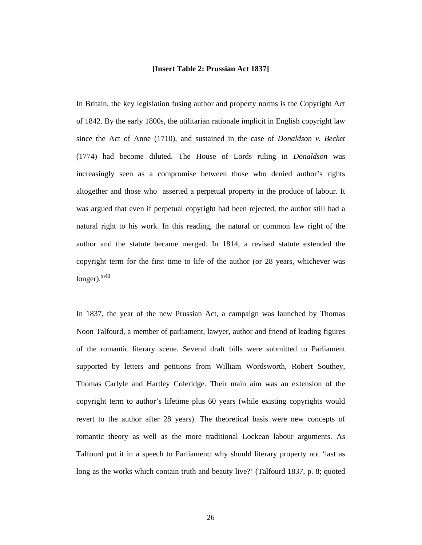#### **[Insert Table 2: Prussian Act 1837]**

In Britain, the key legislation fusing author and property norms is the Copyright Act of 1842. By the early 1800s, the utilitarian rationale implicit in English copyright law since the Act of Anne (1710), and sustained in the case of *Donaldson v. Becket* (1774) had become diluted. The House of Lords ruling in *Donaldson* was increasingly seen as a compromise between those who denied author's rights altogether and those who asserted a perpetual property in the produce of labour. It was argued that even if perpetual copyright had been rejected, the author still had a natural right to his work. In this reading, the natural or common law right of the author and the statute became merged. In 1814, a revised statute extended the copyright term for the first time to life of the author (or 28 years, whichever was  $longer$ ). $x$ viii

In 1837, the year of the new Prussian Act, a campaign was launched by Thomas Noon Talfourd, a member of parliament, lawyer, author and friend of leading figures of the romantic literary scene. Several draft bills were submitted to Parliament supported by letters and petitions from William Wordsworth, Robert Southey, Thomas Carlyle and Hartley Coleridge. Their main aim was an extension of the copyright term to author's lifetime plus 60 years (while existing copyrights would revert to the author after 28 years). The theoretical basis were new concepts of romantic theory as well as the more traditional Lockean labour arguments. As Talfourd put it in a speech to Parliament: why should literary property not 'last as long as the works which contain truth and beauty live?' (Talfourd 1837, p. 8; quoted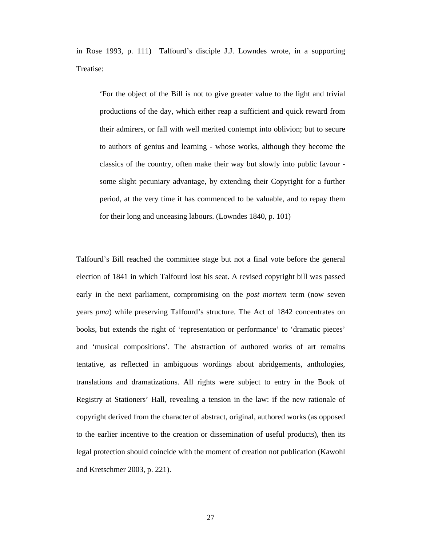in Rose 1993, p. 111) Talfourd's disciple J.J. Lowndes wrote, in a supporting Treatise:

'For the object of the Bill is not to give greater value to the light and trivial productions of the day, which either reap a sufficient and quick reward from their admirers, or fall with well merited contempt into oblivion; but to secure to authors of genius and learning - whose works, although they become the classics of the country, often make their way but slowly into public favour some slight pecuniary advantage, by extending their Copyright for a further period, at the very time it has commenced to be valuable, and to repay them for their long and unceasing labours. (Lowndes 1840, p. 101)

Talfourd's Bill reached the committee stage but not a final vote before the general election of 1841 in which Talfourd lost his seat. A revised copyright bill was passed early in the next parliament, compromising on the *post mortem* term (now seven years *pma*) while preserving Talfourd's structure. The Act of 1842 concentrates on books, but extends the right of 'representation or performance' to 'dramatic pieces' and 'musical compositions'. The abstraction of authored works of art remains tentative, as reflected in ambiguous wordings about abridgements, anthologies, translations and dramatizations. All rights were subject to entry in the Book of Registry at Stationers' Hall, revealing a tension in the law: if the new rationale of copyright derived from the character of abstract, original, authored works (as opposed to the earlier incentive to the creation or dissemination of useful products), then its legal protection should coincide with the moment of creation not publication (Kawohl and Kretschmer 2003, p. 221).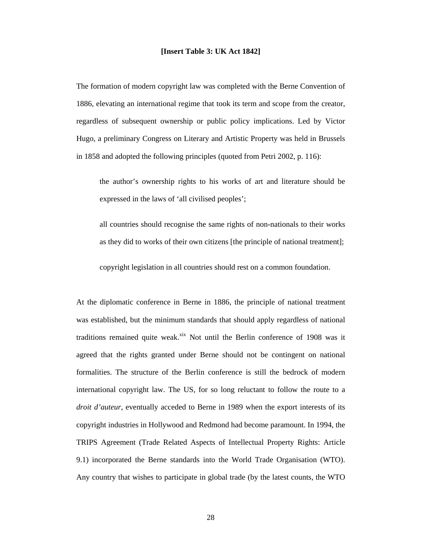#### **[Insert Table 3: UK Act 1842]**

The formation of modern copyright law was completed with the Berne Convention of 1886, elevating an international regime that took its term and scope from the creator, regardless of subsequent ownership or public policy implications. Led by Victor Hugo, a preliminary Congress on Literary and Artistic Property was held in Brussels in 1858 and adopted the following principles (quoted from Petri 2002, p. 116):

the author's ownership rights to his works of art and literature should be expressed in the laws of 'all civilised peoples';

all countries should recognise the same rights of non-nationals to their works as they did to works of their own citizens [the principle of national treatment];

copyright legislation in all countries should rest on a common foundation.

At the diplomatic conference in Berne in 1886, the principle of national treatment was established, but the minimum standards that should apply regardless of national traditions remained quite weak.<sup>xix</sup> Not until the Berlin conference of 1908 was it agreed that the rights granted under Berne should not be contingent on national formalities. The structure of the Berlin conference is still the bedrock of modern international copyright law. The US, for so long reluctant to follow the route to a *droit d'auteur*, eventually acceded to Berne in 1989 when the export interests of its copyright industries in Hollywood and Redmond had become paramount. In 1994, the TRIPS Agreement (Trade Related Aspects of Intellectual Property Rights: Article 9.1) incorporated the Berne standards into the World Trade Organisation (WTO). Any country that wishes to participate in global trade (by the latest counts, the WTO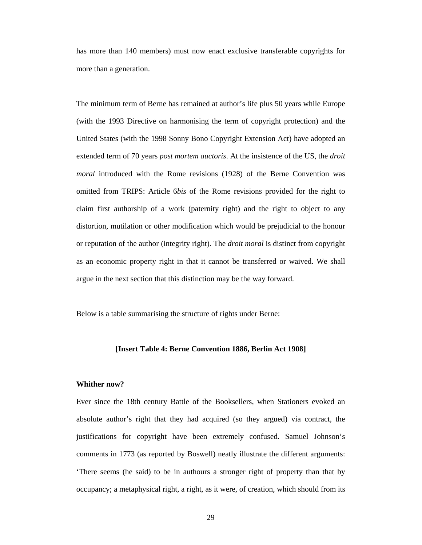has more than 140 members) must now enact exclusive transferable copyrights for more than a generation.

The minimum term of Berne has remained at author's life plus 50 years while Europe (with the 1993 Directive on harmonising the term of copyright protection) and the United States (with the 1998 Sonny Bono Copyright Extension Act) have adopted an extended term of 70 years *post mortem auctoris*. At the insistence of the US, the *droit moral* introduced with the Rome revisions (1928) of the Berne Convention was omitted from TRIPS: Article 6*bis* of the Rome revisions provided for the right to claim first authorship of a work (paternity right) and the right to object to any distortion, mutilation or other modification which would be prejudicial to the honour or reputation of the author (integrity right). The *droit moral* is distinct from copyright as an economic property right in that it cannot be transferred or waived. We shall argue in the next section that this distinction may be the way forward.

Below is a table summarising the structure of rights under Berne:

#### **[Insert Table 4: Berne Convention 1886, Berlin Act 1908]**

## **Whither now?**

Ever since the 18th century Battle of the Booksellers, when Stationers evoked an absolute author's right that they had acquired (so they argued) via contract, the justifications for copyright have been extremely confused. Samuel Johnson's comments in 1773 (as reported by Boswell) neatly illustrate the different arguments: 'There seems (he said) to be in authours a stronger right of property than that by occupancy; a metaphysical right, a right, as it were, of creation, which should from its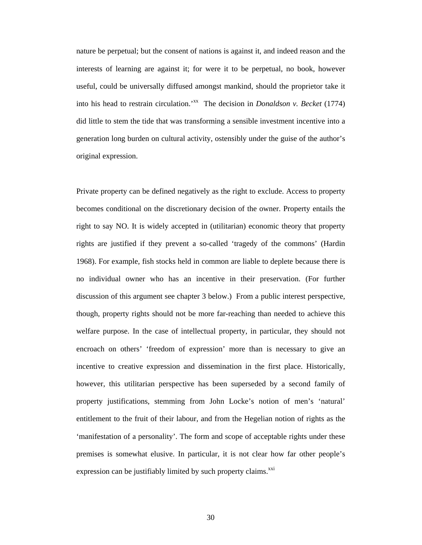nature be perpetual; but the consent of nations is against it, and indeed reason and the interests of learning are against it; for were it to be perpetual, no book, however useful, could be universally diffused amongst mankind, should the proprietor take it into his head to restrain circulation.'xx The decision in *Donaldson v. Becket* (1774) did little to stem the tide that was transforming a sensible investment incentive into a generation long burden on cultural activity, ostensibly under the guise of the author's original expression.

Private property can be defined negatively as the right to exclude. Access to property becomes conditional on the discretionary decision of the owner. Property entails the right to say NO. It is widely accepted in (utilitarian) economic theory that property rights are justified if they prevent a so-called 'tragedy of the commons' (Hardin 1968). For example, fish stocks held in common are liable to deplete because there is no individual owner who has an incentive in their preservation. (For further discussion of this argument see chapter 3 below.) From a public interest perspective, though, property rights should not be more far-reaching than needed to achieve this welfare purpose. In the case of intellectual property, in particular, they should not encroach on others' 'freedom of expression' more than is necessary to give an incentive to creative expression and dissemination in the first place. Historically, however, this utilitarian perspective has been superseded by a second family of property justifications, stemming from John Locke's notion of men's 'natural' entitlement to the fruit of their labour, and from the Hegelian notion of rights as the 'manifestation of a personality'. The form and scope of acceptable rights under these premises is somewhat elusive. In particular, it is not clear how far other people's expression can be justifiably limited by such property claims.<sup>xxi</sup>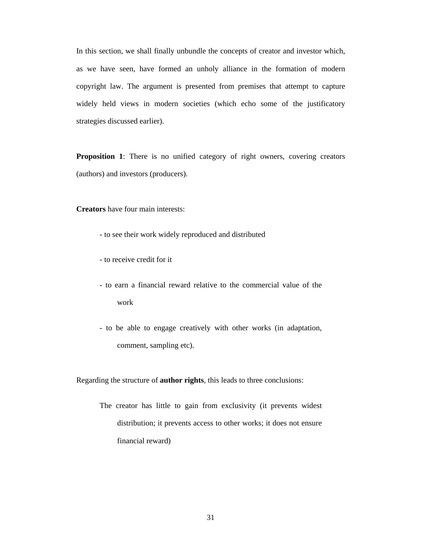In this section, we shall finally unbundle the concepts of creator and investor which, as we have seen, have formed an unholy alliance in the formation of modern copyright law. The argument is presented from premises that attempt to capture widely held views in modern societies (which echo some of the justificatory strategies discussed earlier).

**Proposition 1:** There is no unified category of right owners, covering creators (authors) and investors (producers).

**Creators** have four main interests:

- to see their work widely reproduced and distributed
- to receive credit for it
- to earn a financial reward relative to the commercial value of the work
- to be able to engage creatively with other works (in adaptation, comment, sampling etc).

Regarding the structure of **author rights**, this leads to three conclusions:

The creator has little to gain from exclusivity (it prevents widest distribution; it prevents access to other works; it does not ensure financial reward)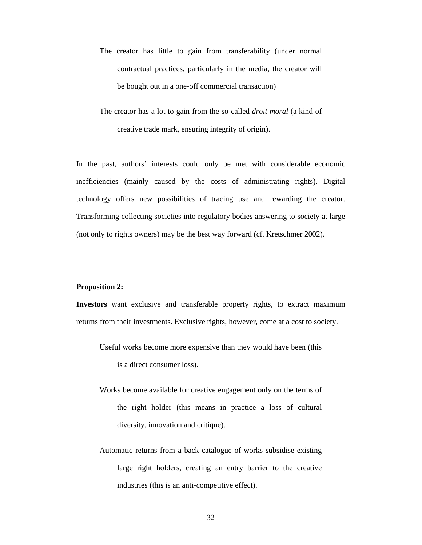- The creator has little to gain from transferability (under normal contractual practices, particularly in the media, the creator will be bought out in a one-off commercial transaction)
- The creator has a lot to gain from the so-called *droit moral* (a kind of creative trade mark, ensuring integrity of origin).

In the past, authors' interests could only be met with considerable economic inefficiencies (mainly caused by the costs of administrating rights). Digital technology offers new possibilities of tracing use and rewarding the creator. Transforming collecting societies into regulatory bodies answering to society at large (not only to rights owners) may be the best way forward (cf. Kretschmer 2002).

#### **Proposition 2:**

**Investors** want exclusive and transferable property rights, to extract maximum returns from their investments. Exclusive rights, however, come at a cost to society.

- Useful works become more expensive than they would have been (this is a direct consumer loss).
- Works become available for creative engagement only on the terms of the right holder (this means in practice a loss of cultural diversity, innovation and critique).
- Automatic returns from a back catalogue of works subsidise existing large right holders, creating an entry barrier to the creative industries (this is an anti-competitive effect).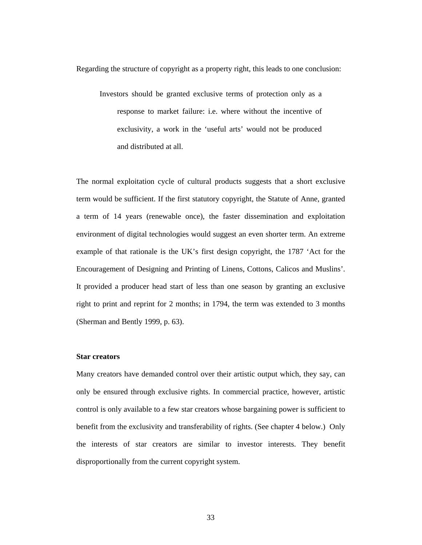Regarding the structure of copyright as a property right, this leads to one conclusion:

Investors should be granted exclusive terms of protection only as a response to market failure: i.e. where without the incentive of exclusivity, a work in the 'useful arts' would not be produced and distributed at all.

The normal exploitation cycle of cultural products suggests that a short exclusive term would be sufficient. If the first statutory copyright, the Statute of Anne, granted a term of 14 years (renewable once), the faster dissemination and exploitation environment of digital technologies would suggest an even shorter term. An extreme example of that rationale is the UK's first design copyright, the 1787 'Act for the Encouragement of Designing and Printing of Linens, Cottons, Calicos and Muslins'. It provided a producer head start of less than one season by granting an exclusive right to print and reprint for 2 months; in 1794, the term was extended to 3 months (Sherman and Bently 1999, p. 63).

#### **Star creators**

Many creators have demanded control over their artistic output which, they say, can only be ensured through exclusive rights. In commercial practice, however, artistic control is only available to a few star creators whose bargaining power is sufficient to benefit from the exclusivity and transferability of rights. (See chapter 4 below.) Only the interests of star creators are similar to investor interests. They benefit disproportionally from the current copyright system.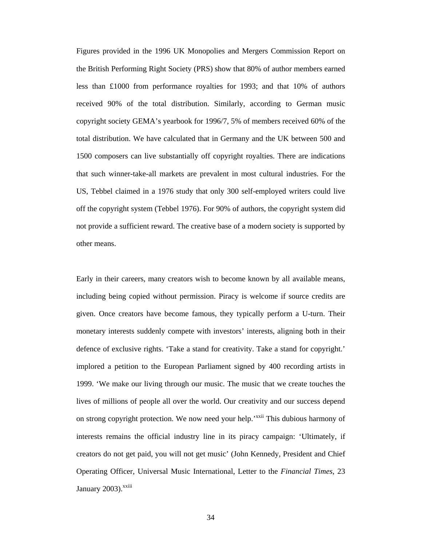Figures provided in the 1996 UK Monopolies and Mergers Commission Report on the British Performing Right Society (PRS) show that 80% of author members earned less than £1000 from performance royalties for 1993; and that 10% of authors received 90% of the total distribution. Similarly, according to German music copyright society GEMA's yearbook for 1996/7, 5% of members received 60% of the total distribution. We have calculated that in Germany and the UK between 500 and 1500 composers can live substantially off copyright royalties. There are indications that such winner-take-all markets are prevalent in most cultural industries. For the US, Tebbel claimed in a 1976 study that only 300 self-employed writers could live off the copyright system (Tebbel 1976). For 90% of authors, the copyright system did not provide a sufficient reward. The creative base of a modern society is supported by other means.

Early in their careers, many creators wish to become known by all available means, including being copied without permission. Piracy is welcome if source credits are given. Once creators have become famous, they typically perform a U-turn. Their monetary interests suddenly compete with investors' interests, aligning both in their defence of exclusive rights. 'Take a stand for creativity. Take a stand for copyright.' implored a petition to the European Parliament signed by 400 recording artists in 1999. 'We make our living through our music. The music that we create touches the lives of millions of people all over the world. Our creativity and our success depend on strong copyright protection. We now need your help.<sup>'xxii</sup> This dubious harmony of interests remains the official industry line in its piracy campaign: 'Ultimately, if creators do not get paid, you will not get music' (John Kennedy, President and Chief Operating Officer, Universal Music International, Letter to the *Financial Times*, 23 January 2003).<sup>xxiii</sup>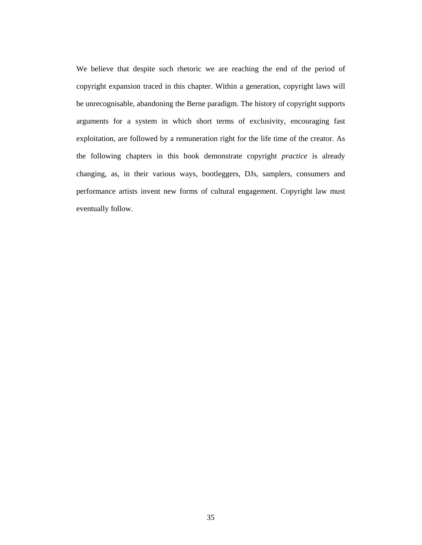We believe that despite such rhetoric we are reaching the end of the period of copyright expansion traced in this chapter. Within a generation, copyright laws will be unrecognisable, abandoning the Berne paradigm. The history of copyright supports arguments for a system in which short terms of exclusivity, encouraging fast exploitation, are followed by a remuneration right for the life time of the creator. As the following chapters in this book demonstrate copyright *practice* is already changing, as, in their various ways, bootleggers, DJs, samplers, consumers and performance artists invent new forms of cultural engagement. Copyright law must eventually follow.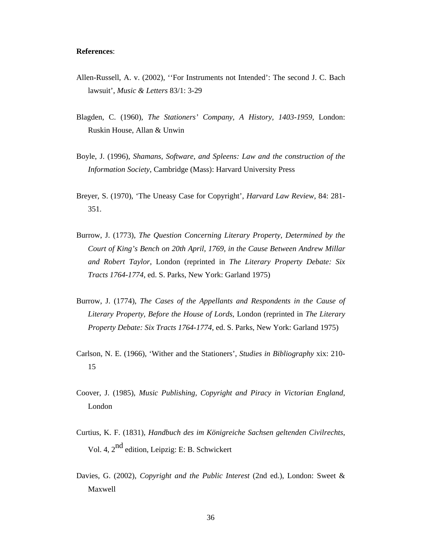#### **References**:

- Allen-Russell, A. v. (2002), ''For Instruments not Intended': The second J. C. Bach lawsuit', *Music & Letters* 83/1: 3-29
- Blagden, C. (1960), *The Stationers' Company, A History, 1403-1959*, London: Ruskin House, Allan & Unwin
- Boyle, J. (1996), *Shamans, Software, and Spleens: Law and the construction of the Information Society*, Cambridge (Mass): Harvard University Press
- Breyer, S. (1970), 'The Uneasy Case for Copyright', *Harvard Law Review*, 84: 281- 351.
- Burrow, J. (1773), *The Question Concerning Literary Property, Determined by the Court of King's Bench on 20th April, 1769, in the Cause Between Andrew Millar and Robert Taylor*, London (reprinted in *The Literary Property Debate: Six Tracts 1764-1774*, ed. S. Parks, New York: Garland 1975)
- Burrow, J. (1774), *The Cases of the Appellants and Respondents in the Cause of Literary Property, Before the House of Lords*, London (reprinted in *The Literary Property Debate: Six Tracts 1764-1774*, ed. S. Parks, New York: Garland 1975)
- Carlson, N. E. (1966), 'Wither and the Stationers', *Studies in Bibliography* xix: 210- 15
- Coover, J. (1985), *Music Publishing, Copyright and Piracy in Victorian England*, London
- Curtius, K. F. (1831), *Handbuch des im Königreiche Sachsen geltenden Civilrechts*, Vol. 4, 2nd edition, Leipzig: E: B. Schwickert
- Davies, G. (2002), *Copyright and the Public Interest* (2nd ed.), London: Sweet & Maxwell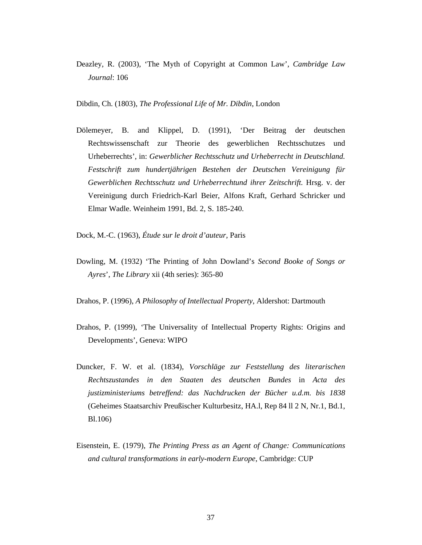Deazley, R. (2003), 'The Myth of Copyright at Common Law', *Cambridge Law Journal*: 106

Dibdin, Ch. (1803), *The Professional Life of Mr. Dibdin*, London

- Dölemeyer, B. and Klippel, D. (1991), 'Der Beitrag der deutschen Rechtswissenschaft zur Theorie des gewerblichen Rechtsschutzes und Urheberrechts', in: *Gewerblicher Rechtsschutz und Urheberrecht in Deutschland. Festschrift zum hundertjährigen Bestehen der Deutschen Vereinigung für Gewerblichen Rechtsschutz und Urheberrechtund ihrer Zeitschrift.* Hrsg. v. der Vereinigung durch Friedrich-Karl Beier, Alfons Kraft, Gerhard Schricker und Elmar Wadle. Weinheim 1991, Bd. 2, S. 185-240.
- Dock, M.-C. (1963), *Étude sur le droit d'auteur*, Paris
- Dowling, M. (1932) 'The Printing of John Dowland's *Second Booke of Songs or Ayres*', *The Library* xii (4th series): 365-80
- Drahos, P. (1996), *A Philosophy of Intellectual Property*, Aldershot: Dartmouth
- Drahos, P. (1999), 'The Universality of Intellectual Property Rights: Origins and Developments', Geneva: WIPO
- Duncker, F. W. et al. (1834), *Vorschläge zur Feststellung des literarischen Rechtszustandes in den Staaten des deutschen Bundes* in *Acta des justizministeriums betreffend: das Nachdrucken der Bücher u.d.m. bis 1838* (Geheimes Staatsarchiv Preußischer Kulturbesitz, HA.l, Rep 84 ll 2 N, Nr.1, Bd.1, Bl.106)
- Eisenstein, E. (1979), *The Printing Press as an Agent of Change: Communications and cultural transformations in early-modern Europe*, Cambridge: CUP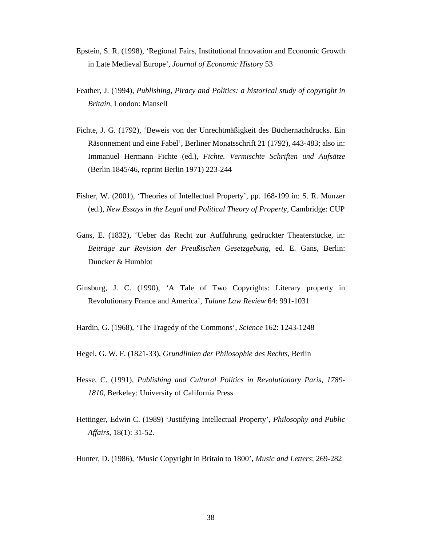- Epstein, S. R. (1998), 'Regional Fairs, Institutional Innovation and Economic Growth in Late Medieval Europe', *Journal of Economic History* 53
- Feather, J. (1994), *Publishing, Piracy and Politics: a historical study of copyright in Britain*, London: Mansell
- Fichte, J. G. (1792), 'Beweis von der Unrechtmäßigkeit des Büchernachdrucks. Ein Räsonnement und eine Fabel', Berliner Monatsschrift 21 (1792), 443-483; also in: Immanuel Hermann Fichte (ed.), *Fichte. Vermischte Schriften und Aufsätze* (Berlin 1845/46, reprint Berlin 1971) 223-244
- Fisher, W. (2001), 'Theories of Intellectual Property', pp. 168-199 in: S. R. Munzer (ed.), *New Essays in the Legal and Political Theory of Property*, Cambridge: CUP
- Gans, E. (1832), 'Ueber das Recht zur Aufführung gedruckter Theaterstücke, in: *Beiträge zur Revision der Preußischen Gesetzgebung*, ed. E. Gans, Berlin: Duncker & Humblot
- Ginsburg, J. C. (1990), 'A Tale of Two Copyrights: Literary property in Revolutionary France and America', *Tulane Law Review* 64: 991-1031
- Hardin, G. (1968), 'The Tragedy of the Commons', *Science* 162: 1243-1248
- Hegel, G. W. F. (1821-33), *Grundlinien der Philosophie des Rechts*, Berlin
- Hesse, C. (1991), *Publishing and Cultural Politics in Revolutionary Paris, 1789- 1810*, Berkeley: University of California Press
- Hettinger, Edwin C. (1989) 'Justifying Intellectual Property', *Philosophy and Public Affairs*, 18(1): 31-52.
- Hunter, D. (1986), 'Music Copyright in Britain to 1800', *Music and Letters*: 269-282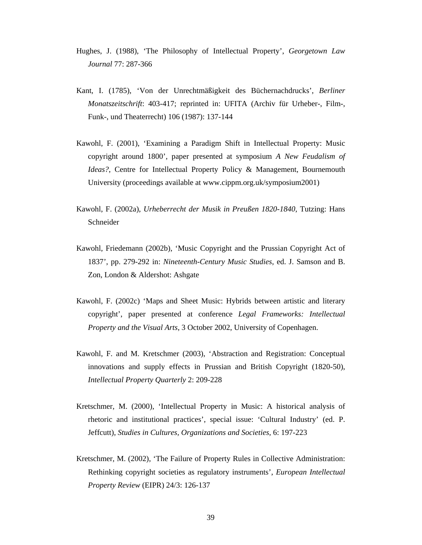- Hughes, J. (1988), 'The Philosophy of Intellectual Property', *Georgetown Law Journal* 77: 287-366
- Kant, I. (1785), 'Von der Unrechtmäßigkeit des Büchernachdrucks', *Berliner Monatszeitschrift*: 403-417; reprinted in: UFITA (Archiv für Urheber-, Film-, Funk-, und Theaterrecht) 106 (1987): 137-144
- Kawohl, F. (2001), 'Examining a Paradigm Shift in Intellectual Property: Music copyright around 1800', paper presented at symposium *A New Feudalism of Ideas?*, Centre for Intellectual Property Policy & Management, Bournemouth University (proceedings available at www.cippm.org.uk/symposium2001)
- Kawohl, F. (2002a), *Urheberrecht der Musik in Preußen 1820-1840*, Tutzing: Hans Schneider
- Kawohl, Friedemann (2002b), 'Music Copyright and the Prussian Copyright Act of 1837', pp. 279-292 in: *Nineteenth-Century Music Studies*, ed. J. Samson and B. Zon, London & Aldershot: Ashgate
- Kawohl, F. (2002c) 'Maps and Sheet Music: Hybrids between artistic and literary copyright', paper presented at conference *Legal Frameworks: Intellectual Property and the Visual Arts*, 3 October 2002, University of Copenhagen.
- Kawohl, F. and M. Kretschmer (2003), 'Abstraction and Registration: Conceptual innovations and supply effects in Prussian and British Copyright (1820-50), *Intellectual Property Quarterly* 2: 209-228
- Kretschmer, M. (2000), 'Intellectual Property in Music: A historical analysis of rhetoric and institutional practices', special issue: 'Cultural Industry' (ed. P. Jeffcutt), *Studies in Cultures, Organizations and Societies,* 6: 197-223
- Kretschmer, M. (2002), 'The Failure of Property Rules in Collective Administration: Rethinking copyright societies as regulatory instruments', *European Intellectual Property Review* (EIPR) 24/3: 126-137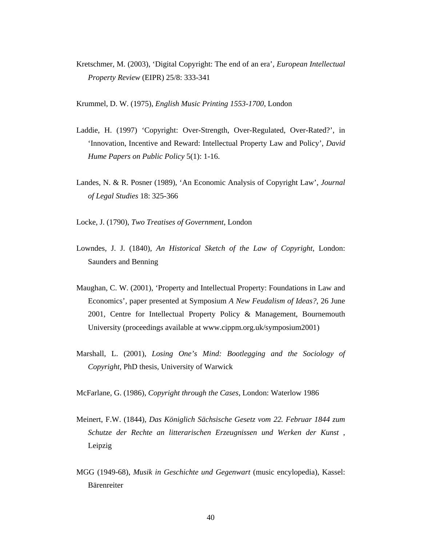Kretschmer, M. (2003), 'Digital Copyright: The end of an era', *European Intellectual Property Review* (EIPR) 25/8: 333-341

Krummel, D. W. (1975), *English Music Printing 1553-1700*, London

- Laddie, H. (1997) 'Copyright: Over-Strength, Over-Regulated, Over-Rated?', in 'Innovation, Incentive and Reward: Intellectual Property Law and Policy', *David Hume Papers on Public Policy* 5(1): 1-16.
- Landes, N. & R. Posner (1989), 'An Economic Analysis of Copyright Law', *Journal of Legal Studies* 18: 325-366
- Locke, J. (1790), *Two Treatises of Government*, London
- Lowndes, J. J. (1840), *An Historical Sketch of the Law of Copyright*, London: Saunders and Benning
- Maughan, C. W. (2001), 'Property and Intellectual Property: Foundations in Law and Economics', paper presented at Symposium *A New Feudalism of Ideas?*, 26 June 2001, Centre for Intellectual Property Policy & Management, Bournemouth University (proceedings available at www.cippm.org.uk/symposium2001)
- Marshall, L. (2001), *Losing One's Mind: Bootlegging and the Sociology of Copyright*, PhD thesis, University of Warwick

McFarlane, G. (1986), *Copyright through the Cases*, London: Waterlow 1986

- Meinert, F.W. (1844), *Das Königlich Sächsische Gesetz vom 22. Februar 1844 zum Schutze der Rechte an litterarischen Erzeugnissen und Werken der Kunst* , Leipzig
- MGG (1949-68), *Musik in Geschichte und Gegenwart* (music encylopedia), Kassel: Bärenreiter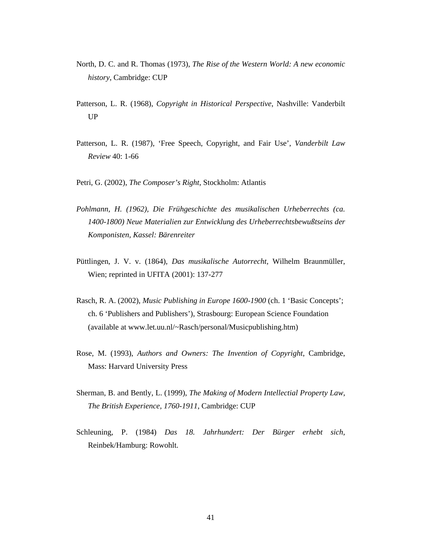- North, D. C. and R. Thomas (1973), *The Rise of the Western World: A new economic history*, Cambridge: CUP
- Patterson, L. R. (1968), *Copyright in Historical Perspective*, Nashville: Vanderbilt UP
- Patterson, L. R. (1987), 'Free Speech, Copyright, and Fair Use', *Vanderbilt Law Review* 40: 1-66
- Petri, G. (2002), *The Composer's Right*, Stockholm: Atlantis
- *Pohlmann, H. (1962), Die Frühgeschichte des musikalischen Urheberrechts (ca. 1400-1800) Neue Materialien zur Entwicklung des Urheberrechtsbewußtseins der Komponisten, Kassel: Bärenreiter*
- Püttlingen, J. V. v. (1864), *Das musikalische Autorrecht,* Wilhelm Braunmüller, Wien; reprinted in UFITA (2001): 137-277
- Rasch, R. A. (2002), *Music Publishing in Europe 1600-1900* (ch. 1 'Basic Concepts'; ch. 6 'Publishers and Publishers'), Strasbourg: European Science Foundation (available at www.let.uu.nl/~Rasch/personal/Musicpublishing.htm)
- Rose, M. (1993), *Authors and Owners: The Invention of Copyright*, Cambridge, Mass: Harvard University Press
- Sherman, B. and Bently, L. (1999), *The Making of Modern Intellectial Property Law, The British Experience, 1760-1911*, Cambridge: CUP
- Schleuning, P. (1984) *Das 18. Jahrhundert: Der Bürger erhebt sich*, Reinbek/Hamburg: Rowohlt.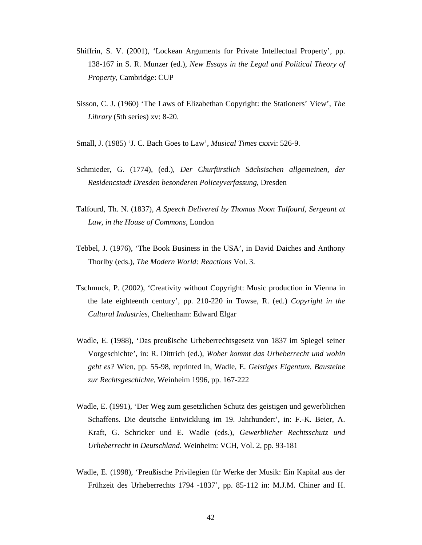- Shiffrin, S. V. (2001), 'Lockean Arguments for Private Intellectual Property', pp. 138-167 in S. R. Munzer (ed.), *New Essays in the Legal and Political Theory of Property*, Cambridge: CUP
- Sisson, C. J. (1960) 'The Laws of Elizabethan Copyright: the Stationers' View', *The Library* (5th series) xv: 8-20.
- Small, J. (1985) 'J. C. Bach Goes to Law', *Musical Times* cxxvi: 526-9.
- Schmieder, G. (1774), (ed.), *Der Churfürstlich Sächsischen allgemeinen, der Residencstadt Dresden besonderen Policeyverfassung*, Dresden
- Talfourd, Th. N. (1837), *A Speech Delivered by Thomas Noon Talfourd, Sergeant at Law, in the House of Commons*, London
- Tebbel, J. (1976), 'The Book Business in the USA', in David Daiches and Anthony Thorlby (eds.), *The Modern World: Reactions* Vol. 3.
- Tschmuck, P. (2002), 'Creativity without Copyright: Music production in Vienna in the late eighteenth century', pp. 210-220 in Towse, R. (ed.) *Copyright in the Cultural Industries*, Cheltenham: Edward Elgar
- Wadle, E. (1988), 'Das preußische Urheberrechtsgesetz von 1837 im Spiegel seiner Vorgeschichte', in: R. Dittrich (ed.), *Woher kommt das Urheberrecht und wohin geht es?* Wien, pp. 55-98, reprinted in, Wadle, E. *Geistiges Eigentum. Bausteine zur Rechtsgeschichte*, Weinheim 1996, pp. 167-222
- Wadle, E. (1991), 'Der Weg zum gesetzlichen Schutz des geistigen und gewerblichen Schaffens. Die deutsche Entwicklung im 19. Jahrhundert', in: F.-K. Beier, A. Kraft, G. Schricker und E. Wadle (eds.), *Gewerblicher Rechtsschutz und Urheberrecht in Deutschland.* Weinheim: VCH, Vol. 2, pp. 93-181
- Wadle, E. (1998), 'Preußische Privilegien für Werke der Musik: Ein Kapital aus der Frühzeit des Urheberrechts 1794 -1837', pp. 85-112 in: M.J.M. Chiner and H.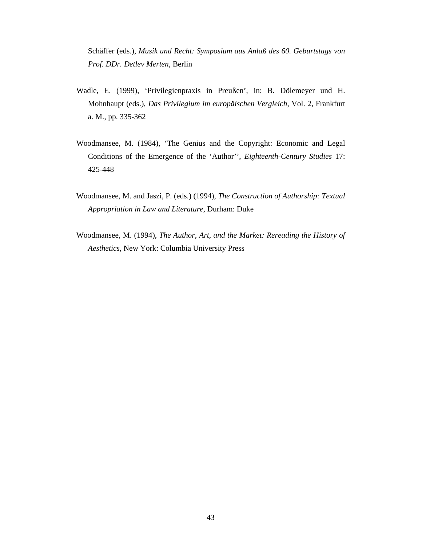Schäffer (eds.), *Musik und Recht: Symposium aus Anlaß des 60. Geburtstags von Prof. DDr. Detlev Merten*, Berlin

- Wadle, E. (1999), 'Privilegienpraxis in Preußen', in: B. Dölemeyer und H. Mohnhaupt (eds.), *Das Privilegium im europäischen Vergleich*, Vol. 2, Frankfurt a. M., pp. 335-362
- Woodmansee, M. (1984), 'The Genius and the Copyright: Economic and Legal Conditions of the Emergence of the 'Author'', *Eighteenth-Century Studies* 17: 425-448
- Woodmansee, M. and Jaszi, P. (eds.) (1994), *The Construction of Authorship: Textual Appropriation in Law and Literature*, Durham: Duke
- Woodmansee, M. (1994), *The Author, Art, and the Market: Rereading the History of Aesthetics*, New York: Columbia University Press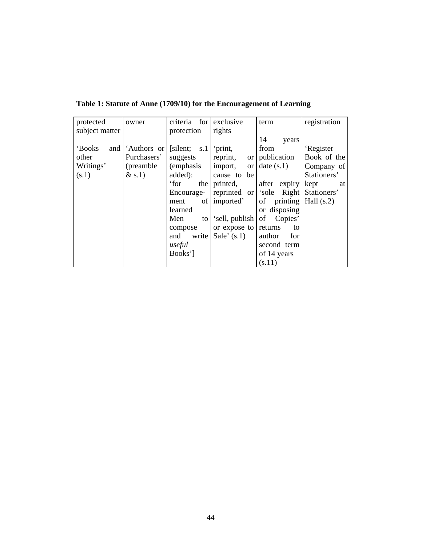| protected<br>subject matter           | owner                                 | criteria for exclusive<br>protection                                                                                                                                                                      | rights                                                                                                                                                     | term                                                                                                                                                                                                                               | registration                                                        |
|---------------------------------------|---------------------------------------|-----------------------------------------------------------------------------------------------------------------------------------------------------------------------------------------------------------|------------------------------------------------------------------------------------------------------------------------------------------------------------|------------------------------------------------------------------------------------------------------------------------------------------------------------------------------------------------------------------------------------|---------------------------------------------------------------------|
| 'Books<br>other<br>Writings'<br>(s.1) | Purchasers'<br>(preamble)<br>$&$ s.1) | and $\alpha$ Authors or [silent; s.1 $\gamma$ print,<br>suggests<br><i>(emphasis</i> )<br>added):<br>'for<br>Encourage-<br>ment<br>learned<br>Men<br>to  <br>compose<br>and<br>write<br>useful<br>Books'] | reprint,<br>or  <br>import,<br><sub>or</sub><br>cause to be<br>the $ $ printed,<br>of imported'<br>'sell, publish<br>or expose to returns<br>Sale' $(s.1)$ | 14<br>years<br>from<br>publication<br>date(s.1)<br>after expiry<br>reprinted or 'sole Right Stationers'<br>of printing   Hall $(s.2)$<br>or disposing<br>of Copies'<br>to<br>author<br>for<br>second term<br>of 14 years<br>(s.11) | 'Register<br>Book of the<br>Company of<br>Stationers'<br>kept<br>at |

**Table 1: Statute of Anne (1709/10) for the Encouragement of Learning**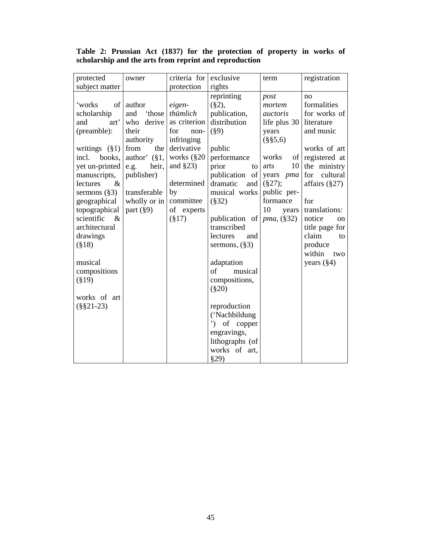| protected          | owner           | criteria for exclusive |                            | term                   | registration      |
|--------------------|-----------------|------------------------|----------------------------|------------------------|-------------------|
| subject matter     |                 | protection             | rights                     |                        |                   |
|                    |                 |                        | reprinting                 | post                   | no                |
| 'works<br>of l     | author          | eigen-                 | $(\$2),$                   | mortem                 | formalities       |
| scholarship        | 'those<br>and   | thümlich               | publication,               | <i>auctoris</i>        | for works of      |
| art'<br>and        | who<br>derive   | as criterion           | distribution               | life plus 30           | literature        |
| (preamble):        | their           | for<br>non-            | (89)                       | years                  | and music         |
|                    | authority       | infringing             |                            | $(\$§5,6)$             |                   |
|                    |                 |                        |                            |                        |                   |
| writings $(\S1)$   | from<br>the     | derivative             | public                     |                        | works of art      |
| books,<br>incl.    | author' $(\S1,$ | works $(\S 20)$        | performance                | works<br>of            | registered at     |
| yet un-printed     | heir,<br>e.g.   | and $\S$ 23)           | prior<br>to                | 10<br>arts             | the ministry      |
| manuscripts,       | publisher)      |                        | publication of years $pma$ |                        | cultural<br>for   |
| lectures<br>&      |                 | determined             | dramatic<br>and            | $(\$27);$              | affairs $(\S 27)$ |
| sermons $(\S3)$    | transferable    | by                     | musical works              | public per-            |                   |
| geographical       | wholly or in    | committee              | $(\$32)$                   | formance               | for               |
| topographical      | part $(\S 9)$   | of experts             |                            | 10<br>years            | translations:     |
| scientific<br>$\&$ |                 | $(\$17)$               | publication of             | <i>pma</i> , $(\S 32)$ | notice<br>on      |
| architectural      |                 |                        | transcribed                |                        | title page for    |
| drawings           |                 |                        | lectures<br>and            |                        | claim<br>to       |
| $(\$18)$           |                 |                        | sermons, $(\S3)$           |                        | produce           |
|                    |                 |                        |                            |                        | within<br>two     |
| musical            |                 |                        | adaptation                 |                        | years (§4)        |
| compositions       |                 |                        | of<br>musical              |                        |                   |
| $(\$19)$           |                 |                        | compositions,              |                        |                   |
|                    |                 |                        |                            |                        |                   |
|                    |                 |                        | $(\$20)$                   |                        |                   |
| works of art       |                 |                        |                            |                        |                   |
| $(\$§21-23)$       |                 |                        | reproduction               |                        |                   |
|                    |                 |                        | ('Nachbildung              |                        |                   |
|                    |                 |                        | b) of copper               |                        |                   |
|                    |                 |                        | engravings,                |                        |                   |
|                    |                 |                        | lithographs (of            |                        |                   |
|                    |                 |                        | works of art,              |                        |                   |
|                    |                 |                        | §29)                       |                        |                   |

## **Table 2: Prussian Act (1837) for the protection of property in works of scholarship and the arts from reprint and reproduction**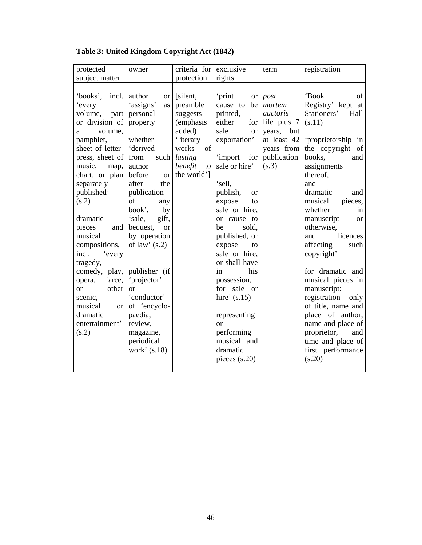# **Table 3: United Kingdom Copyright Act (1842)**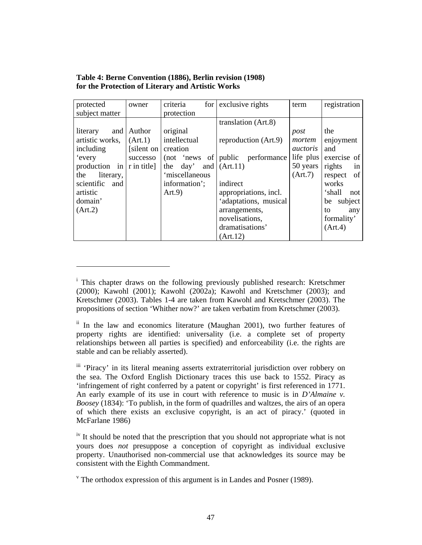| protected                                    | owner                | criteria       | for exclusive rights              | term            | registration  |
|----------------------------------------------|----------------------|----------------|-----------------------------------|-----------------|---------------|
| subject matter                               |                      | protection     |                                   |                 |               |
|                                              |                      |                | translation (Art.8)               |                 |               |
| literary                                     | and Author           | original       |                                   | post            | the           |
| artistic works,                              | (Art.1)              | intellectual   | reproduction (Art.9)              | mortem          | enjoyment     |
| including                                    | [silent on creation] |                |                                   | <i>auctoris</i> | and           |
| 'every                                       | successo             |                | (not 'news of public performance) | life plus       | exercise of   |
| production in $\lfloor$ r in title $\rfloor$ |                      | day'<br>the    | and $(Art.11)$                    | 50 years        | rights<br>in  |
| literary,<br>the                             |                      | 'miscellaneous |                                   | (Art.7)         | of<br>respect |
| scientific and                               |                      | information';  | indirect                          |                 | works         |
| artistic                                     |                      | Art.9)         | appropriations, incl.             |                 | 'shall<br>not |
| domain'                                      |                      |                | 'adaptations, musical             |                 | subject<br>be |
| (Art.2)                                      |                      |                | arrangements,                     |                 | any<br>to     |
|                                              |                      |                | novelisations,                    |                 | formality'    |
|                                              |                      |                | dramatisations'                   |                 | (Art.4)       |
|                                              |                      |                | (Art.12)                          |                 |               |

| Table 4: Berne Convention (1886), Berlin revision (1908) |
|----------------------------------------------------------|
| for the Protection of Literary and Artistic Works        |

<sup>&</sup>lt;sup>i</sup> This chapter draws on the following previously published research: Kretschmer (2000); Kawohl (2001); Kawohl (2002a); Kawohl and Kretschmer (2003); and Kretschmer (2003). Tables 1-4 are taken from Kawohl and Kretschmer (2003). The propositions of section 'Whither now?' are taken verbatim from Kretschmer (2003).

ii In the law and economics literature (Maughan 2001), two further features of property rights are identified: universality (i.e. a complete set of property relationships between all parties is specified) and enforceability (i.e. the rights are stable and can be reliably asserted).

iii 'Piracy' in its literal meaning asserts extraterritorial jurisdiction over robbery on the sea. The Oxford English Dictionary traces this use back to 1552. Piracy as 'infringement of right conferred by a patent or copyright' is first referenced in 1771. An early example of its use in court with reference to music is in *D'Almaine v. Boosey* (1834): 'To publish, in the form of quadrilles and waltzes, the airs of an opera of which there exists an exclusive copyright, is an act of piracy.' (quoted in McFarlane 1986)

 $\mu$ <sup>iv</sup> It should be noted that the prescription that you should not appropriate what is not yours does *not* presuppose a conception of copyright as individual exclusive property. Unauthorised non-commercial use that acknowledges its source may be consistent with the Eighth Commandment.

 $\sigma$ <sup>v</sup> The orthodox expression of this argument is in Landes and Posner (1989).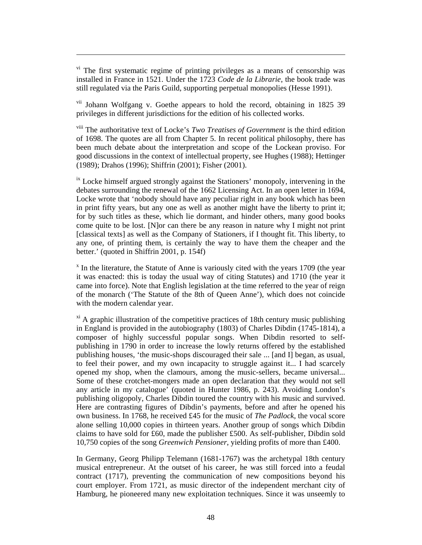<sup>vi</sup> The first systematic regime of printing privileges as a means of censorship was installed in France in 1521. Under the 1723 *Code de la Librarie*, the book trade was still regulated via the Paris Guild, supporting perpetual monopolies (Hesse 1991).

 $\overline{a}$ 

vii Johann Wolfgang v. Goethe appears to hold the record, obtaining in 1825 39 privileges in different jurisdictions for the edition of his collected works.

viii The authoritative text of Locke's *Two Treatises of Government* is the third edition of 1698. The quotes are all from Chapter 5. In recent political philosophy, there has been much debate about the interpretation and scope of the Lockean proviso. For good discussions in the context of intellectual property, see Hughes (1988); Hettinger (1989); Drahos (1996); Shiffrin (2001); Fisher (2001).

<sup>ix</sup> Locke himself argued strongly against the Stationers' monopoly, intervening in the debates surrounding the renewal of the 1662 Licensing Act. In an open letter in 1694, Locke wrote that 'nobody should have any peculiar right in any book which has been in print fifty years, but any one as well as another might have the liberty to print it; for by such titles as these, which lie dormant, and hinder others, many good books come quite to be lost. [N]or can there be any reason in nature why I might not print [classical texts] as well as the Company of Stationers, if I thought fit. This liberty, to any one, of printing them, is certainly the way to have them the cheaper and the better.' (quoted in Shiffrin 2001, p. 154f)

<sup>x</sup> In the literature, the Statute of Anne is variously cited with the years 1709 (the year it was enacted: this is today the usual way of citing Statutes) and 1710 (the year it came into force). Note that English legislation at the time referred to the year of reign of the monarch ('The Statute of the 8th of Queen Anne'), which does not coincide with the modern calendar year.

 $x_i$ <sup>xi</sup> A graphic illustration of the competitive practices of 18th century music publishing in England is provided in the autobiography (1803) of Charles Dibdin (1745-1814), a composer of highly successful popular songs. When Dibdin resorted to selfpublishing in 1790 in order to increase the lowly returns offered by the established publishing houses, 'the music-shops discouraged their sale ... [and I] began, as usual, to feel their power, and my own incapacity to struggle against it... I had scarcely opened my shop, when the clamours, among the music-sellers, became universal... Some of these crotchet-mongers made an open declaration that they would not sell any article in my catalogue' (quoted in Hunter 1986, p. 243). Avoiding London's publishing oligopoly, Charles Dibdin toured the country with his music and survived. Here are contrasting figures of Dibdin's payments, before and after he opened his own business. In 1768, he received £45 for the music of *The Padlock*, the vocal score alone selling 10,000 copies in thirteen years. Another group of songs which Dibdin claims to have sold for £60, made the publisher £500. As self-publisher, Dibdin sold 10,750 copies of the song *Greenwich Pensioner*, yielding profits of more than £400.

In Germany, Georg Philipp Telemann (1681-1767) was the archetypal 18th century musical entrepreneur. At the outset of his career, he was still forced into a feudal contract (1717), preventing the communication of new compositions beyond his court employer. From 1721, as music director of the independent merchant city of Hamburg, he pioneered many new exploitation techniques. Since it was unseemly to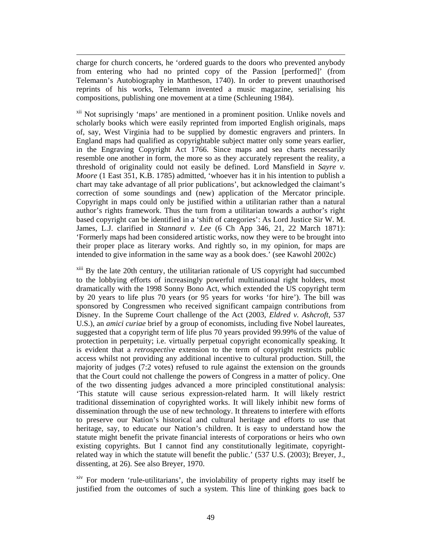charge for church concerts, he 'ordered guards to the doors who prevented anybody from entering who had no printed copy of the Passion [performed]' (from Telemann's Autobiography in Mattheson, 1740). In order to prevent unauthorised reprints of his works, Telemann invented a music magazine, serialising his compositions, publishing one movement at a time (Schleuning 1984).

 $\overline{a}$ 

<sup>xii</sup> Not suprisingly 'maps' are mentioned in a prominent position. Unlike novels and scholarly books which were easily reprinted from imported English originals, maps of, say, West Virginia had to be supplied by domestic engravers and printers. In England maps had qualified as copyrightable subject matter only some years earlier, in the Engraving Copyright Act 1766. Since maps and sea charts necessarily resemble one another in form, the more so as they accurately represent the reality, a threshold of originality could not easily be defined. Lord Mansfield in *Sayre v. Moore* (1 East 351, K.B. 1785) admitted, 'whoever has it in his intention to publish a chart may take advantage of all prior publications', but acknowledged the claimant's correction of some soundings and (new) application of the Mercator principle. Copyright in maps could only be justified within a utilitarian rather than a natural author's rights framework. Thus the turn from a utilitarian towards a author's right based copyright can be identified in a 'shift of categories': As Lord Justice Sir W. M. James, L.J. clarified in *Stannard v. Lee* (6 Ch App 346, 21, 22 March 1871): 'Formerly maps had been considered artistic works, now they were to be brought into their proper place as literary works. And rightly so, in my opinion, for maps are intended to give information in the same way as a book does.' (see Kawohl 2002c)

<sup>xiii</sup> By the late 20th century, the utilitarian rationale of US copyright had succumbed to the lobbying efforts of increasingly powerful multinational right holders, most dramatically with the 1998 Sonny Bono Act, which extended the US copyright term by 20 years to life plus 70 years (or 95 years for works 'for hire'). The bill was sponsored by Congressmen who received significant campaign contributions from Disney. In the Supreme Court challenge of the Act (2003, *Eldred v. Ashcroft*, 537 U.S.), an *amici curiae* brief by a group of economists, including five Nobel laureates, suggested that a copyright term of life plus 70 years provided 99.99% of the value of protection in perpetuity; i.e. virtually perpetual copyright economically speaking. It is evident that a *retrospective* extension to the term of copyright restricts public access whilst not providing any additional incentive to cultural production. Still, the majority of judges (7:2 votes) refused to rule against the extension on the grounds that the Court could not challenge the powers of Congress in a matter of policy. One of the two dissenting judges advanced a more principled constitutional analysis: 'This statute will cause serious expression-related harm. It will likely restrict traditional dissemination of copyrighted works. It will likely inhibit new forms of dissemination through the use of new technology. It threatens to interfere with efforts to preserve our Nation's historical and cultural heritage and efforts to use that heritage, say, to educate our Nation's children. It is easy to understand how the statute might benefit the private financial interests of corporations or heirs who own existing copyrights. But I cannot find any constitutionally legitimate, copyrightrelated way in which the statute will benefit the public.' (537 U.S. (2003); Breyer, J., dissenting, at 26). See also Breyer, 1970.

<sup>xiv</sup> For modern 'rule-utilitarians', the inviolability of property rights may itself be justified from the outcomes of such a system. This line of thinking goes back to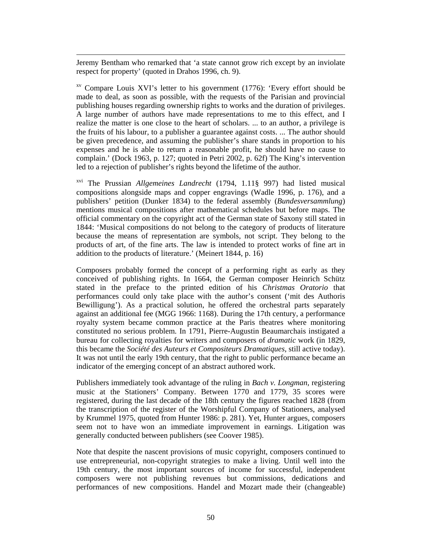Jeremy Bentham who remarked that 'a state cannot grow rich except by an inviolate respect for property' (quoted in Drahos 1996, ch. 9).

 $\overline{a}$ 

xv Compare Louis XVI's letter to his government (1776): 'Every effort should be made to deal, as soon as possible, with the requests of the Parisian and provincial publishing houses regarding ownership rights to works and the duration of privileges. A large number of authors have made representations to me to this effect, and I realize the matter is one close to the heart of scholars. ... to an author, a privilege is the fruits of his labour, to a publisher a guarantee against costs. ... The author should be given precedence, and assuming the publisher's share stands in proportion to his expenses and he is able to return a reasonable profit, he should have no cause to complain.' (Dock 1963, p. 127; quoted in Petri 2002, p. 62f) The King's intervention led to a rejection of publisher's rights beyond the lifetime of the author.

xvi The Prussian *Allgemeines Landrecht* (1794, 1.11§ 997) had listed musical compositions alongside maps and copper engravings (Wadle 1996, p. 176), and a publishers' petition (Dunker 1834) to the federal assembly (*Bundesversammlung*) mentions musical compositions after mathematical schedules but before maps. The official commentary on the copyright act of the German state of Saxony still stated in 1844: 'Musical compositions do not belong to the category of products of literature because the means of representation are symbols, not script. They belong to the products of art, of the fine arts. The law is intended to protect works of fine art in addition to the products of literature.' (Meinert 1844, p. 16)

Composers probably formed the concept of a performing right as early as they conceived of publishing rights. In 1664, the German composer Heinrich Schütz stated in the preface to the printed edition of his *Christmas Oratorio* that performances could only take place with the author's consent ('mit des Authoris Bewilligung'). As a practical solution, he offered the orchestral parts separately against an additional fee (MGG 1966: 1168). During the 17th century, a performance royalty system became common practice at the Paris theatres where monitoring constituted no serious problem. In 1791, Pierre-Augustin Beaumarchais instigated a bureau for collecting royalties for writers and composers of *dramatic* work (in 1829, this became the *Société des Auteurs et Compositeurs Dramatiques*, still active today). It was not until the early 19th century, that the right to public performance became an indicator of the emerging concept of an abstract authored work.

Publishers immediately took advantage of the ruling in *Bach v. Longman*, registering music at the Stationers' Company. Between 1770 and 1779, 35 scores were registered, during the last decade of the 18th century the figures reached 1828 (from the transcription of the register of the Worshipful Company of Stationers, analysed by Krummel 1975, quoted from Hunter 1986: p. 281). Yet, Hunter argues, composers seem not to have won an immediate improvement in earnings. Litigation was generally conducted between publishers (see Coover 1985).

Note that despite the nascent provisions of music copyright, composers continued to use entrepreneurial, non-copyright strategies to make a living. Until well into the 19th century, the most important sources of income for successful, independent composers were not publishing revenues but commissions, dedications and performances of new compositions. Handel and Mozart made their (changeable)